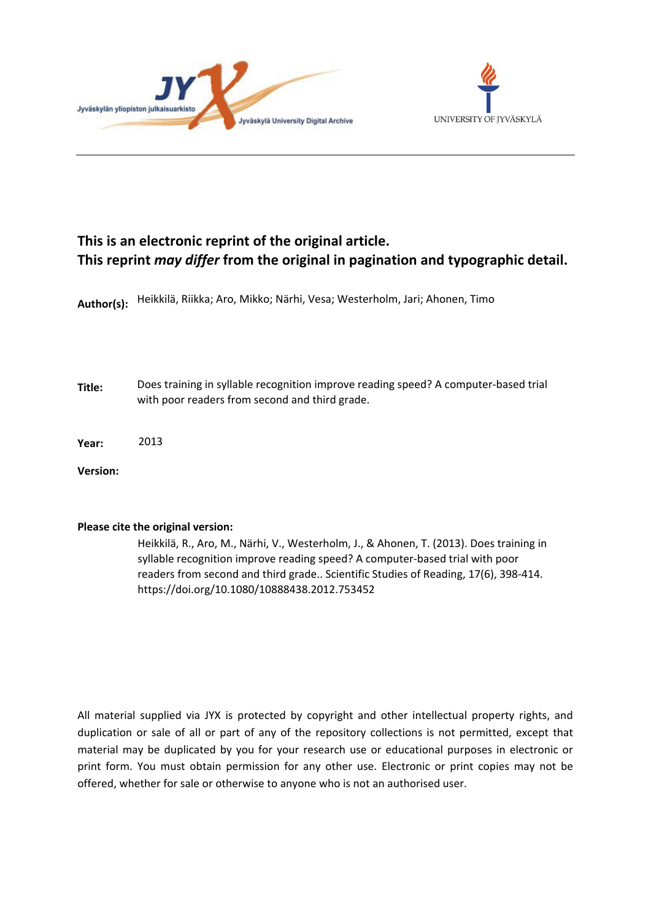



# **This is an electronic reprint of the original article. This reprint** *may differ* **from the original in pagination and typographic detail.**

**Author(s):**  Heikkilä, Riikka; Aro, Mikko; Närhi, Vesa; Westerholm, Jari; Ahonen, Timo

**Title:** Does training in syllable recognition improve reading speed? A computer-based trial with poor readers from second and third grade.

**Year:**  2013

**Version:**

## **Please cite the original version:**

Heikkilä, R., Aro, M., Närhi, V., Westerholm, J., & Ahonen, T. (2013). Does training in syllable recognition improve reading speed? A computer-based trial with poor readers from second and third grade.. Scientific Studies of Reading, 17(6), 398-414. https://doi.org/10.1080/10888438.2012.753452

All material supplied via JYX is protected by copyright and other intellectual property rights, and duplication or sale of all or part of any of the repository collections is not permitted, except that material may be duplicated by you for your research use or educational purposes in electronic or print form. You must obtain permission for any other use. Electronic or print copies may not be offered, whether for sale or otherwise to anyone who is not an authorised user.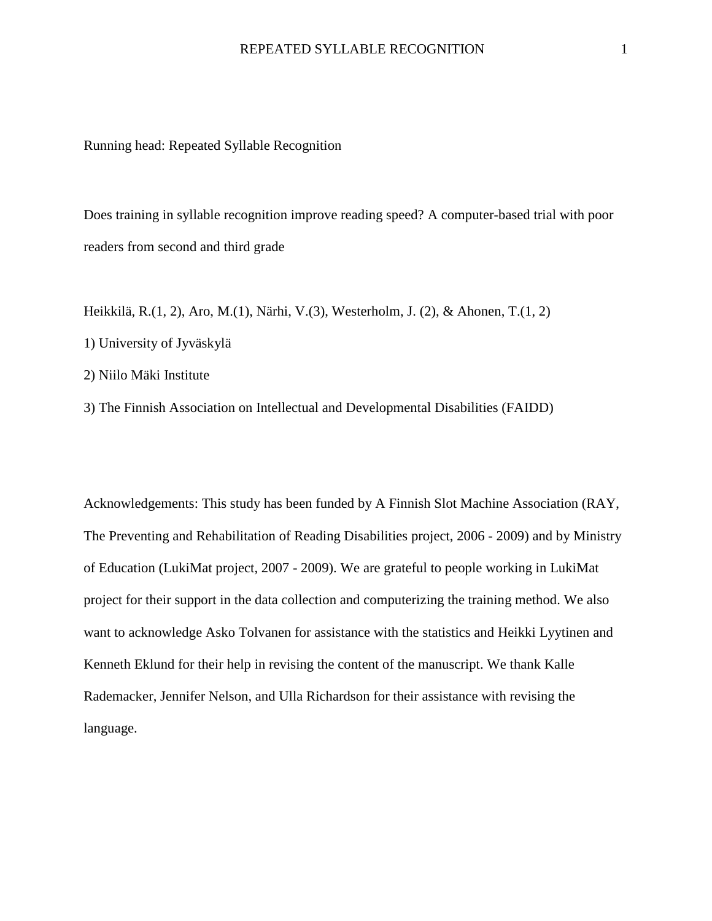Running head: Repeated Syllable Recognition

Does training in syllable recognition improve reading speed? A computer-based trial with poor readers from second and third grade

- Heikkilä, R.(1, 2), Aro, M.(1), Närhi, V.(3), Westerholm, J. (2), & Ahonen, T.(1, 2)
- 1) University of Jyväskylä
- 2) Niilo Mäki Institute

3) The Finnish Association on Intellectual and Developmental Disabilities (FAIDD)

Acknowledgements: This study has been funded by A Finnish Slot Machine Association (RAY, The Preventing and Rehabilitation of Reading Disabilities project, 2006 - 2009) and by Ministry of Education (LukiMat project, 2007 - 2009). We are grateful to people working in LukiMat project for their support in the data collection and computerizing the training method. We also want to acknowledge Asko Tolvanen for assistance with the statistics and Heikki Lyytinen and Kenneth Eklund for their help in revising the content of the manuscript. We thank Kalle Rademacker, Jennifer Nelson, and Ulla Richardson for their assistance with revising the language.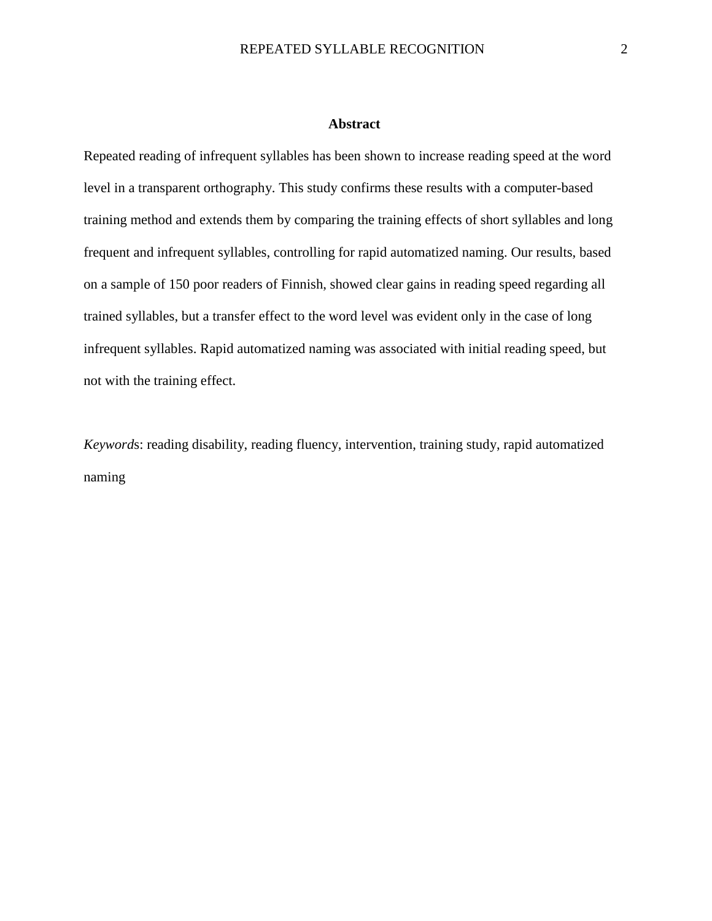## **Abstract**

Repeated reading of infrequent syllables has been shown to increase reading speed at the word level in a transparent orthography. This study confirms these results with a computer-based training method and extends them by comparing the training effects of short syllables and long frequent and infrequent syllables, controlling for rapid automatized naming. Our results, based on a sample of 150 poor readers of Finnish, showed clear gains in reading speed regarding all trained syllables, but a transfer effect to the word level was evident only in the case of long infrequent syllables. Rapid automatized naming was associated with initial reading speed, but not with the training effect.

*Keyword*s: reading disability, reading fluency, intervention, training study, rapid automatized naming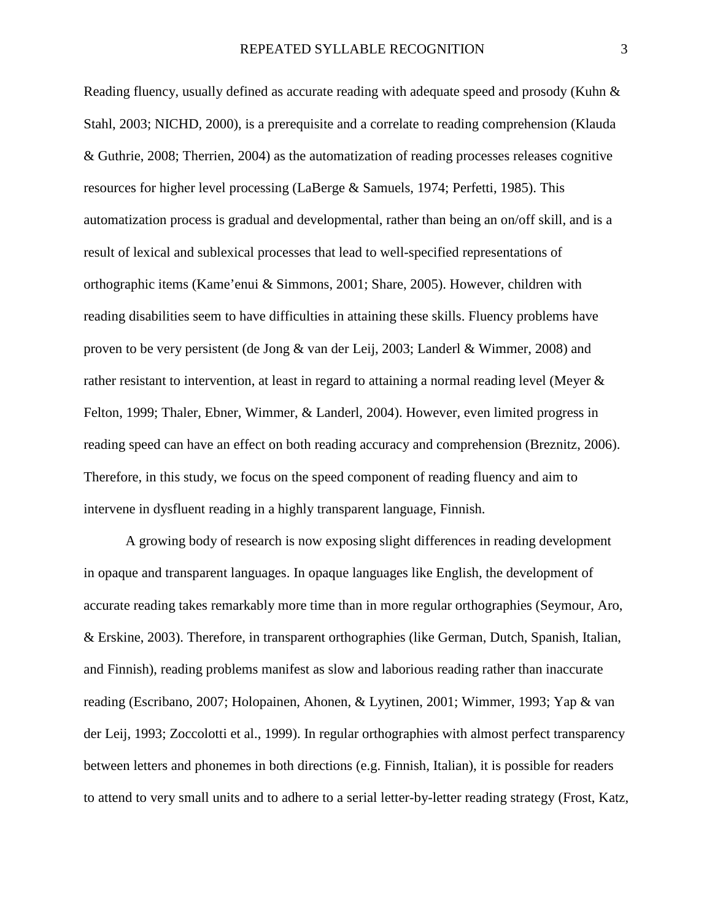Reading fluency, usually defined as accurate reading with adequate speed and prosody (Kuhn & Stahl, 2003; NICHD, 2000), is a prerequisite and a correlate to reading comprehension (Klauda & Guthrie, 2008; Therrien, 2004) as the automatization of reading processes releases cognitive resources for higher level processing (LaBerge & Samuels, 1974; Perfetti, 1985). This automatization process is gradual and developmental, rather than being an on/off skill, and is a result of lexical and sublexical processes that lead to well-specified representations of orthographic items (Kame'enui & Simmons, 2001; Share, 2005). However, children with reading disabilities seem to have difficulties in attaining these skills. Fluency problems have proven to be very persistent (de Jong & van der Leij, 2003; Landerl & Wimmer, 2008) and rather resistant to intervention, at least in regard to attaining a normal reading level (Meyer & Felton, 1999; Thaler, Ebner, Wimmer, & Landerl, 2004). However, even limited progress in reading speed can have an effect on both reading accuracy and comprehension (Breznitz, 2006). Therefore, in this study, we focus on the speed component of reading fluency and aim to intervene in dysfluent reading in a highly transparent language, Finnish.

A growing body of research is now exposing slight differences in reading development in opaque and transparent languages. In opaque languages like English, the development of accurate reading takes remarkably more time than in more regular orthographies (Seymour, Aro, & Erskine, 2003). Therefore, in transparent orthographies (like German, Dutch, Spanish, Italian, and Finnish), reading problems manifest as slow and laborious reading rather than inaccurate reading (Escribano, 2007; Holopainen, Ahonen, & Lyytinen, 2001; Wimmer, 1993; Yap & van der Leij, 1993; Zoccolotti et al., 1999). In regular orthographies with almost perfect transparency between letters and phonemes in both directions (e.g. Finnish, Italian), it is possible for readers to attend to very small units and to adhere to a serial letter-by-letter reading strategy (Frost, Katz,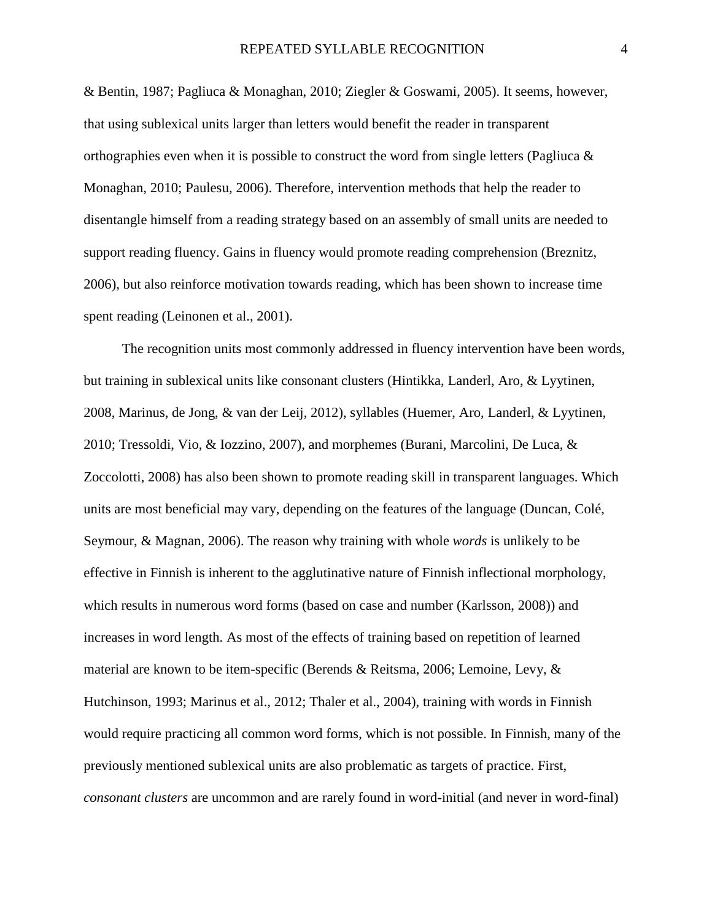& Bentin, 1987; Pagliuca & Monaghan, 2010; Ziegler & Goswami, 2005). It seems, however, that using sublexical units larger than letters would benefit the reader in transparent orthographies even when it is possible to construct the word from single letters (Pagliuca  $\&$ Monaghan, 2010; Paulesu, 2006). Therefore, intervention methods that help the reader to disentangle himself from a reading strategy based on an assembly of small units are needed to support reading fluency. Gains in fluency would promote reading comprehension (Breznitz, 2006), but also reinforce motivation towards reading, which has been shown to increase time spent reading (Leinonen et al., 2001).

 The recognition units most commonly addressed in fluency intervention have been words, but training in sublexical units like consonant clusters (Hintikka, Landerl, Aro, & Lyytinen, 2008, Marinus, de Jong, & van der Leij, 2012), syllables (Huemer, Aro, Landerl, & Lyytinen, 2010; Tressoldi, Vio, & Iozzino, 2007), and morphemes (Burani, Marcolini, De Luca, & Zoccolotti, 2008) has also been shown to promote reading skill in transparent languages. Which units are most beneficial may vary, depending on the features of the language (Duncan, Colé, Seymour, & Magnan, 2006). The reason why training with whole *words* is unlikely to be effective in Finnish is inherent to the agglutinative nature of Finnish inflectional morphology, which results in numerous word forms (based on case and number (Karlsson, 2008)) and increases in word length. As most of the effects of training based on repetition of learned material are known to be item-specific (Berends & Reitsma, 2006; Lemoine, Levy, & Hutchinson, 1993; Marinus et al., 2012; Thaler et al., 2004), training with words in Finnish would require practicing all common word forms, which is not possible. In Finnish, many of the previously mentioned sublexical units are also problematic as targets of practice. First, *consonant clusters* are uncommon and are rarely found in word-initial (and never in word-final)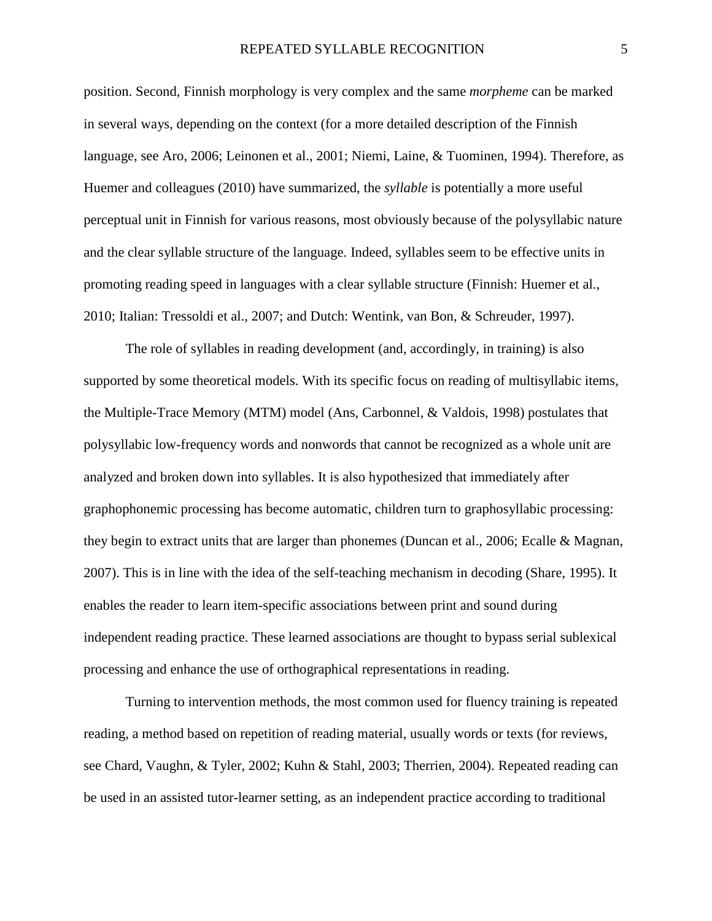position. Second, Finnish morphology is very complex and the same *morpheme* can be marked in several ways, depending on the context (for a more detailed description of the Finnish language, see Aro, 2006; Leinonen et al., 2001; Niemi, Laine, & Tuominen, 1994). Therefore, as Huemer and colleagues (2010) have summarized, the *syllable* is potentially a more useful perceptual unit in Finnish for various reasons, most obviously because of the polysyllabic nature and the clear syllable structure of the language. Indeed, syllables seem to be effective units in promoting reading speed in languages with a clear syllable structure (Finnish: Huemer et al., 2010; Italian: Tressoldi et al., 2007; and Dutch: Wentink, van Bon, & Schreuder, 1997).

The role of syllables in reading development (and, accordingly, in training) is also supported by some theoretical models. With its specific focus on reading of multisyllabic items, the Multiple-Trace Memory (MTM) model (Ans, Carbonnel, & Valdois, 1998) postulates that polysyllabic low-frequency words and nonwords that cannot be recognized as a whole unit are analyzed and broken down into syllables. It is also hypothesized that immediately after graphophonemic processing has become automatic, children turn to graphosyllabic processing: they begin to extract units that are larger than phonemes (Duncan et al., 2006; Ecalle & Magnan, 2007). This is in line with the idea of the self-teaching mechanism in decoding (Share, 1995). It enables the reader to learn item-specific associations between print and sound during independent reading practice. These learned associations are thought to bypass serial sublexical processing and enhance the use of orthographical representations in reading.

Turning to intervention methods, the most common used for fluency training is repeated reading, a method based on repetition of reading material, usually words or texts (for reviews, see Chard, Vaughn, & Tyler, 2002; Kuhn & Stahl, 2003; Therrien, 2004). Repeated reading can be used in an assisted tutor-learner setting, as an independent practice according to traditional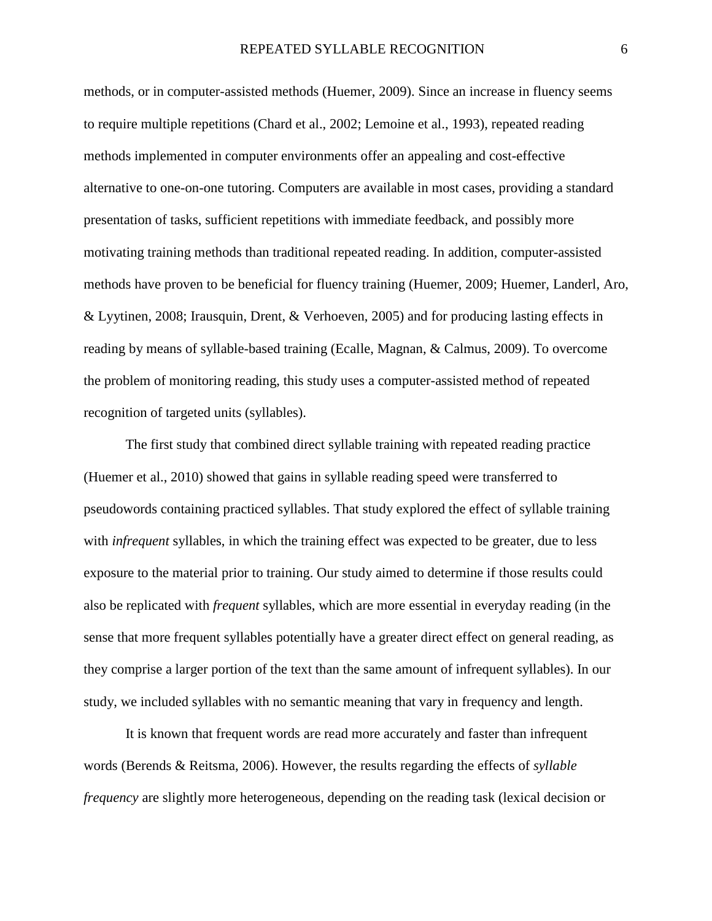methods, or in computer-assisted methods (Huemer, 2009). Since an increase in fluency seems to require multiple repetitions (Chard et al., 2002; Lemoine et al., 1993), repeated reading methods implemented in computer environments offer an appealing and cost-effective alternative to one-on-one tutoring. Computers are available in most cases, providing a standard presentation of tasks, sufficient repetitions with immediate feedback, and possibly more motivating training methods than traditional repeated reading. In addition, computer-assisted methods have proven to be beneficial for fluency training (Huemer, 2009; Huemer, Landerl, Aro, & Lyytinen, 2008; Irausquin, Drent, & Verhoeven, 2005) and for producing lasting effects in reading by means of syllable-based training (Ecalle, Magnan, & Calmus, 2009). To overcome the problem of monitoring reading, this study uses a computer-assisted method of repeated recognition of targeted units (syllables).

 The first study that combined direct syllable training with repeated reading practice (Huemer et al., 2010) showed that gains in syllable reading speed were transferred to pseudowords containing practiced syllables. That study explored the effect of syllable training with *infrequent* syllables, in which the training effect was expected to be greater, due to less exposure to the material prior to training. Our study aimed to determine if those results could also be replicated with *frequent* syllables, which are more essential in everyday reading (in the sense that more frequent syllables potentially have a greater direct effect on general reading, as they comprise a larger portion of the text than the same amount of infrequent syllables). In our study, we included syllables with no semantic meaning that vary in frequency and length.

It is known that frequent words are read more accurately and faster than infrequent words (Berends & Reitsma, 2006). However, the results regarding the effects of *syllable frequency* are slightly more heterogeneous, depending on the reading task (lexical decision or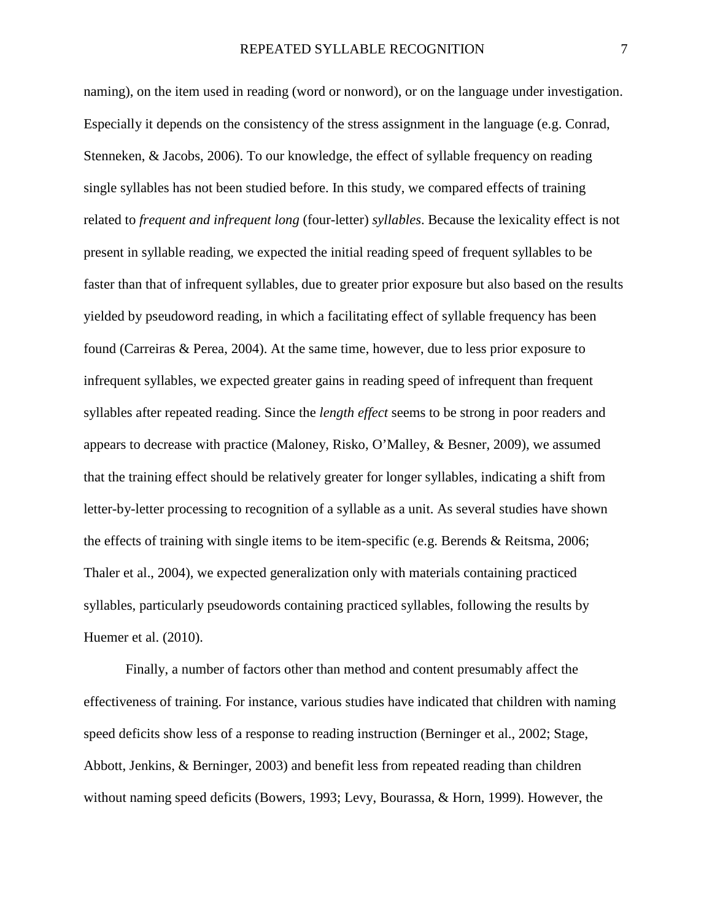naming), on the item used in reading (word or nonword), or on the language under investigation. Especially it depends on the consistency of the stress assignment in the language (e.g. Conrad, Stenneken, & Jacobs, 2006). To our knowledge, the effect of syllable frequency on reading single syllables has not been studied before. In this study, we compared effects of training related to *frequent and infrequent long* (four-letter) *syllables*. Because the lexicality effect is not present in syllable reading, we expected the initial reading speed of frequent syllables to be faster than that of infrequent syllables, due to greater prior exposure but also based on the results yielded by pseudoword reading, in which a facilitating effect of syllable frequency has been found (Carreiras & Perea, 2004). At the same time, however, due to less prior exposure to infrequent syllables, we expected greater gains in reading speed of infrequent than frequent syllables after repeated reading. Since the *length effect* seems to be strong in poor readers and appears to decrease with practice (Maloney, Risko, O'Malley, & Besner, 2009), we assumed that the training effect should be relatively greater for longer syllables, indicating a shift from letter-by-letter processing to recognition of a syllable as a unit. As several studies have shown the effects of training with single items to be item-specific (e.g. Berends & Reitsma, 2006; Thaler et al., 2004), we expected generalization only with materials containing practiced syllables, particularly pseudowords containing practiced syllables, following the results by Huemer et al. (2010).

Finally, a number of factors other than method and content presumably affect the effectiveness of training. For instance, various studies have indicated that children with naming speed deficits show less of a response to reading instruction (Berninger et al., 2002; Stage, Abbott, Jenkins, & Berninger, 2003) and benefit less from repeated reading than children without naming speed deficits (Bowers, 1993; Levy, Bourassa, & Horn, 1999). However, the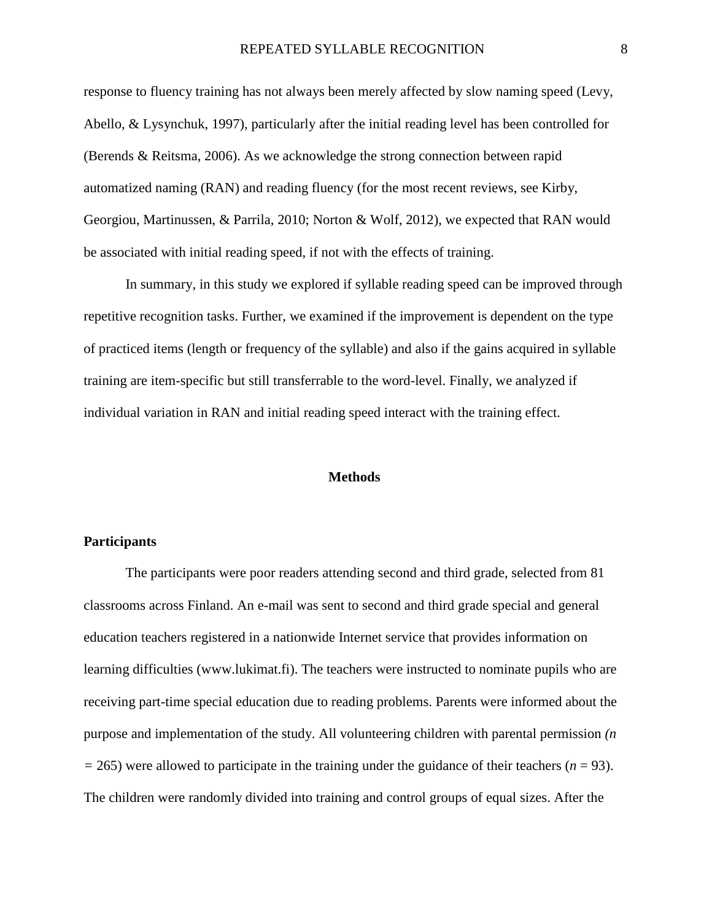response to fluency training has not always been merely affected by slow naming speed (Levy, Abello, & Lysynchuk, 1997), particularly after the initial reading level has been controlled for (Berends & Reitsma, 2006). As we acknowledge the strong connection between rapid automatized naming (RAN) and reading fluency (for the most recent reviews, see Kirby, Georgiou, Martinussen, & Parrila, 2010; Norton & Wolf, 2012), we expected that RAN would be associated with initial reading speed, if not with the effects of training.

In summary, in this study we explored if syllable reading speed can be improved through repetitive recognition tasks. Further, we examined if the improvement is dependent on the type of practiced items (length or frequency of the syllable) and also if the gains acquired in syllable training are item-specific but still transferrable to the word-level. Finally, we analyzed if individual variation in RAN and initial reading speed interact with the training effect.

#### **Methods**

## **Participants**

The participants were poor readers attending second and third grade, selected from 81 classrooms across Finland. An e-mail was sent to second and third grade special and general education teachers registered in a nationwide Internet service that provides information on learning difficulties (www.lukimat.fi). The teachers were instructed to nominate pupils who are receiving part-time special education due to reading problems. Parents were informed about the purpose and implementation of the study. All volunteering children with parental permission *(n*   $= 265$ ) were allowed to participate in the training under the guidance of their teachers ( $n = 93$ ). The children were randomly divided into training and control groups of equal sizes. After the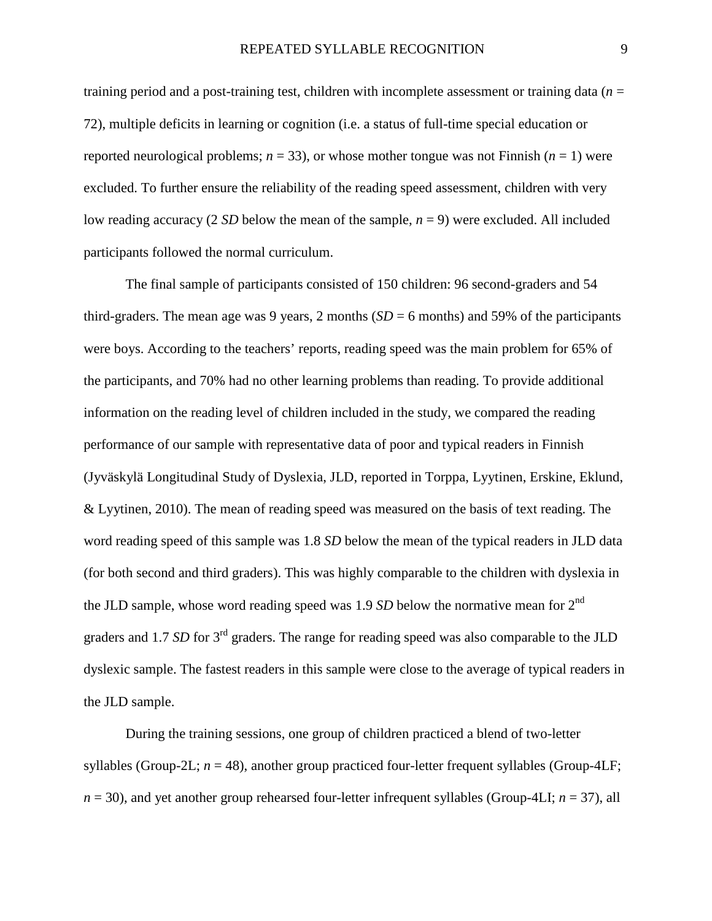training period and a post-training test, children with incomplete assessment or training data (*n* = 72), multiple deficits in learning or cognition (i.e. a status of full-time special education or reported neurological problems;  $n = 33$ ), or whose mother tongue was not Finnish  $(n = 1)$  were excluded. To further ensure the reliability of the reading speed assessment, children with very low reading accuracy (2 *SD* below the mean of the sample, *n* = 9) were excluded. All included participants followed the normal curriculum.

The final sample of participants consisted of 150 children: 96 second-graders and 54 third-graders. The mean age was 9 years, 2 months  $(SD = 6$  months) and 59% of the participants were boys. According to the teachers' reports, reading speed was the main problem for 65% of the participants, and 70% had no other learning problems than reading. To provide additional information on the reading level of children included in the study, we compared the reading performance of our sample with representative data of poor and typical readers in Finnish (Jyväskylä Longitudinal Study of Dyslexia, JLD, reported in Torppa, Lyytinen, Erskine, Eklund, & Lyytinen, 2010). The mean of reading speed was measured on the basis of text reading. The word reading speed of this sample was 1.8 *SD* below the mean of the typical readers in JLD data (for both second and third graders). This was highly comparable to the children with dyslexia in the JLD sample, whose word reading speed was 1.9 *SD* below the normative mean for 2<sup>nd</sup> graders and 1.7 *SD* for 3<sup>rd</sup> graders. The range for reading speed was also comparable to the JLD dyslexic sample. The fastest readers in this sample were close to the average of typical readers in the JLD sample.

During the training sessions, one group of children practiced a blend of two-letter syllables (Group-2L;  $n = 48$ ), another group practiced four-letter frequent syllables (Group-4LF;  $n = 30$ , and yet another group rehearsed four-letter infrequent syllables (Group-4LI;  $n = 37$ ), all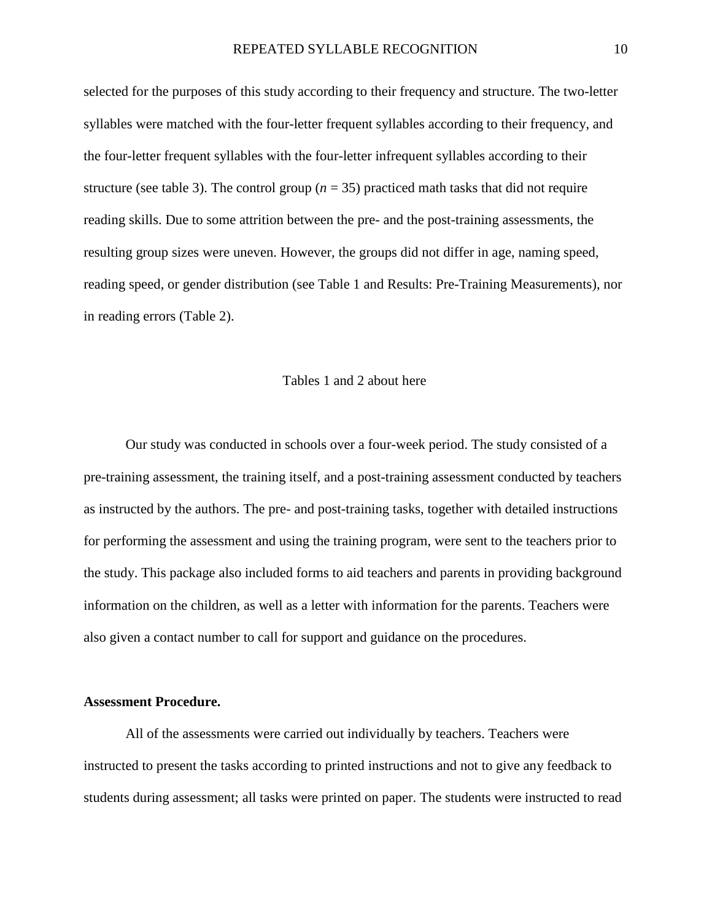selected for the purposes of this study according to their frequency and structure. The two-letter syllables were matched with the four-letter frequent syllables according to their frequency, and the four-letter frequent syllables with the four-letter infrequent syllables according to their structure (see table 3). The control group  $(n = 35)$  practiced math tasks that did not require reading skills. Due to some attrition between the pre- and the post-training assessments, the resulting group sizes were uneven. However, the groups did not differ in age, naming speed, reading speed, or gender distribution (see Table 1 and Results: Pre-Training Measurements), nor in reading errors (Table 2).

## Tables 1 and 2 about here

Our study was conducted in schools over a four-week period. The study consisted of a pre-training assessment, the training itself, and a post-training assessment conducted by teachers as instructed by the authors. The pre- and post-training tasks, together with detailed instructions for performing the assessment and using the training program, were sent to the teachers prior to the study. This package also included forms to aid teachers and parents in providing background information on the children, as well as a letter with information for the parents. Teachers were also given a contact number to call for support and guidance on the procedures.

#### **Assessment Procedure.**

All of the assessments were carried out individually by teachers. Teachers were instructed to present the tasks according to printed instructions and not to give any feedback to students during assessment; all tasks were printed on paper. The students were instructed to read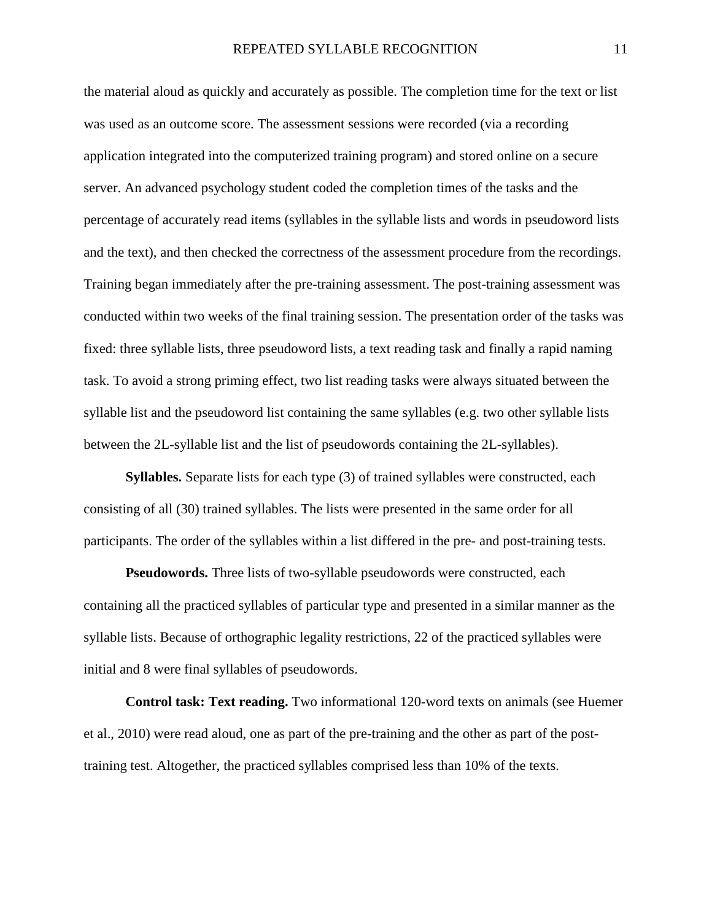the material aloud as quickly and accurately as possible. The completion time for the text or list was used as an outcome score. The assessment sessions were recorded (via a recording application integrated into the computerized training program) and stored online on a secure server. An advanced psychology student coded the completion times of the tasks and the percentage of accurately read items (syllables in the syllable lists and words in pseudoword lists and the text), and then checked the correctness of the assessment procedure from the recordings. Training began immediately after the pre-training assessment. The post-training assessment was conducted within two weeks of the final training session. The presentation order of the tasks was fixed: three syllable lists, three pseudoword lists, a text reading task and finally a rapid naming task. To avoid a strong priming effect, two list reading tasks were always situated between the syllable list and the pseudoword list containing the same syllables (e.g. two other syllable lists between the 2L-syllable list and the list of pseudowords containing the 2L-syllables).

**Syllables.** Separate lists for each type (3) of trained syllables were constructed, each consisting of all (30) trained syllables. The lists were presented in the same order for all participants. The order of the syllables within a list differed in the pre- and post-training tests.

**Pseudowords.** Three lists of two-syllable pseudowords were constructed, each containing all the practiced syllables of particular type and presented in a similar manner as the syllable lists. Because of orthographic legality restrictions, 22 of the practiced syllables were initial and 8 were final syllables of pseudowords.

**Control task: Text reading.** Two informational 120-word texts on animals (see Huemer et al., 2010) were read aloud, one as part of the pre-training and the other as part of the posttraining test. Altogether, the practiced syllables comprised less than 10% of the texts.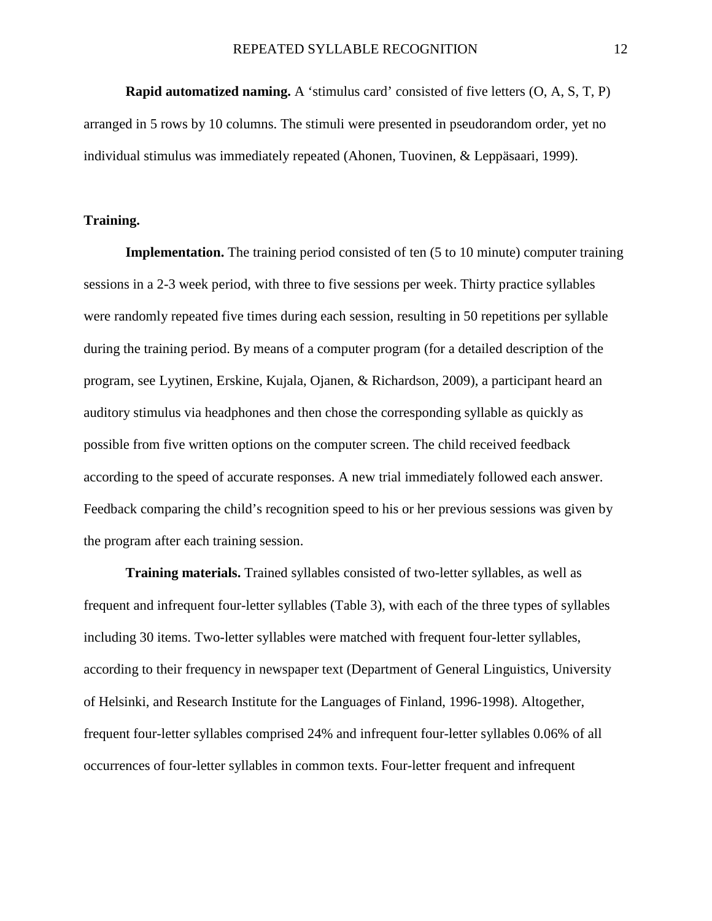**Rapid automatized naming.** A 'stimulus card' consisted of five letters (O, A, S, T, P) arranged in 5 rows by 10 columns. The stimuli were presented in pseudorandom order, yet no individual stimulus was immediately repeated (Ahonen, Tuovinen, & Leppäsaari, 1999).

## **Training.**

**Implementation.** The training period consisted of ten (5 to 10 minute) computer training sessions in a 2-3 week period, with three to five sessions per week. Thirty practice syllables were randomly repeated five times during each session, resulting in 50 repetitions per syllable during the training period. By means of a computer program (for a detailed description of the program, see Lyytinen, Erskine, Kujala, Ojanen, & Richardson, 2009), a participant heard an auditory stimulus via headphones and then chose the corresponding syllable as quickly as possible from five written options on the computer screen. The child received feedback according to the speed of accurate responses. A new trial immediately followed each answer. Feedback comparing the child's recognition speed to his or her previous sessions was given by the program after each training session.

**Training materials.** Trained syllables consisted of two-letter syllables, as well as frequent and infrequent four-letter syllables (Table 3), with each of the three types of syllables including 30 items. Two-letter syllables were matched with frequent four-letter syllables, according to their frequency in newspaper text (Department of General Linguistics, University of Helsinki, and Research Institute for the Languages of Finland, 1996-1998). Altogether, frequent four-letter syllables comprised 24% and infrequent four-letter syllables 0.06% of all occurrences of four-letter syllables in common texts. Four-letter frequent and infrequent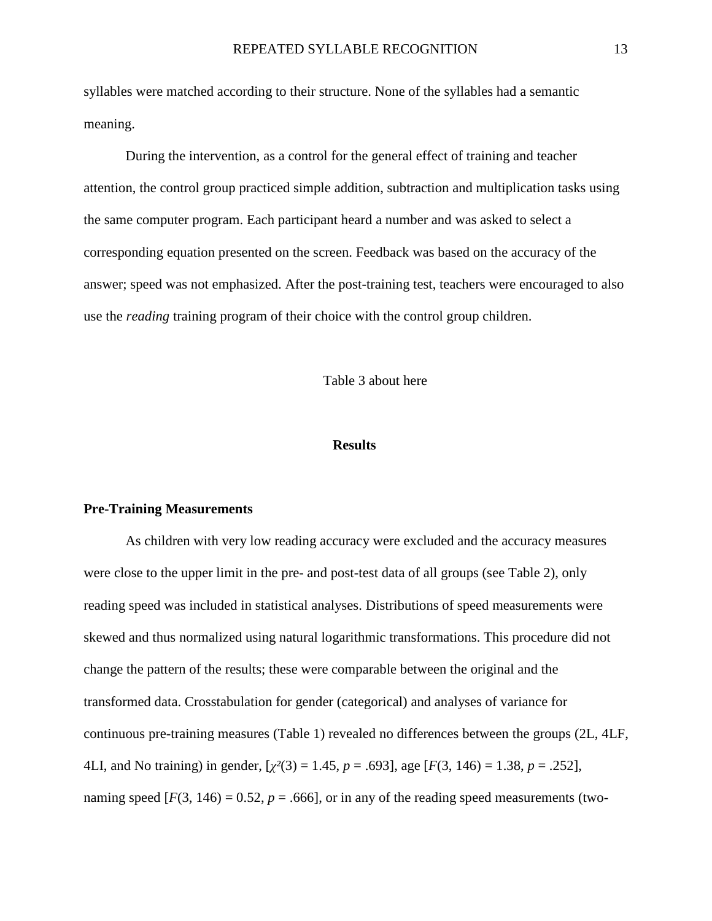syllables were matched according to their structure. None of the syllables had a semantic meaning.

During the intervention, as a control for the general effect of training and teacher attention, the control group practiced simple addition, subtraction and multiplication tasks using the same computer program. Each participant heard a number and was asked to select a corresponding equation presented on the screen. Feedback was based on the accuracy of the answer; speed was not emphasized. After the post-training test, teachers were encouraged to also use the *reading* training program of their choice with the control group children.

Table 3 about here

#### **Results**

#### **Pre-Training Measurements**

As children with very low reading accuracy were excluded and the accuracy measures were close to the upper limit in the pre- and post-test data of all groups (see Table 2), only reading speed was included in statistical analyses. Distributions of speed measurements were skewed and thus normalized using natural logarithmic transformations. This procedure did not change the pattern of the results; these were comparable between the original and the transformed data. Crosstabulation for gender (categorical) and analyses of variance for continuous pre-training measures (Table 1) revealed no differences between the groups (2L, 4LF, 4LI, and No training) in gender, [*χ²*(3) = 1.45, *p* = .693], age [*F*(3, 146) = 1.38, *p* = .252], naming speed  $[F(3, 146) = 0.52, p = .666]$ , or in any of the reading speed measurements (two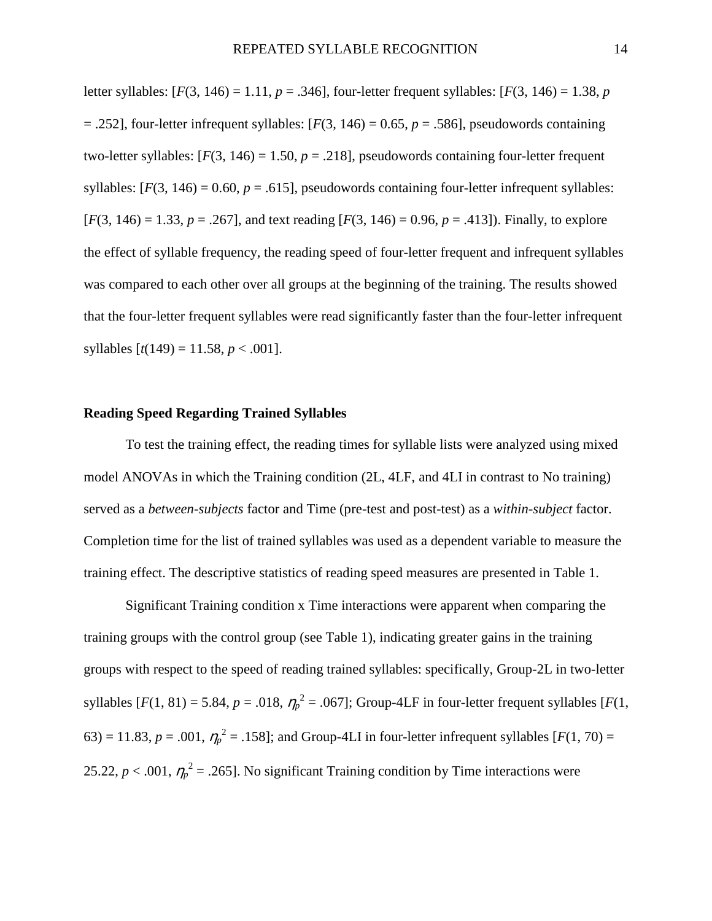letter syllables:  $[F(3, 146) = 1.11, p = .346]$ , four-letter frequent syllables:  $[F(3, 146) = 1.38, p$  $= .252$ ], four-letter infrequent syllables:  $[F(3, 146) = 0.65, p = .586]$ , pseudowords containing two-letter syllables:  $[F(3, 146) = 1.50, p = .218]$ , pseudowords containing four-letter frequent syllables:  $[F(3, 146) = 0.60, p = .615]$ , pseudowords containing four-letter infrequent syllables:  $[F(3, 146) = 1.33, p = .267]$ , and text reading  $[F(3, 146) = 0.96, p = .413]$ ). Finally, to explore the effect of syllable frequency, the reading speed of four-letter frequent and infrequent syllables was compared to each other over all groups at the beginning of the training. The results showed that the four-letter frequent syllables were read significantly faster than the four-letter infrequent syllables  $[t(149) = 11.58, p < .001]$ .

## **Reading Speed Regarding Trained Syllables**

To test the training effect, the reading times for syllable lists were analyzed using mixed model ANOVAs in which the Training condition (2L, 4LF, and 4LI in contrast to No training) served as a *between-subjects* factor and Time (pre-test and post-test) as a *within-subject* factor. Completion time for the list of trained syllables was used as a dependent variable to measure the training effect. The descriptive statistics of reading speed measures are presented in Table 1.

Significant Training condition x Time interactions were apparent when comparing the training groups with the control group (see Table 1), indicating greater gains in the training groups with respect to the speed of reading trained syllables: specifically, Group-2L in two-letter syllables  $[F(1, 81) = 5.84, p = .018, \eta_p^2 = .067]$ ; Group-4LF in four-letter frequent syllables  $[F(1, 81) = 5.84, p = .018, \eta_p^2 = .067]$ ; Group-4LF in four-letter frequent syllables  $[F(1, 81) = 5.84, p = .018, \eta_p^2 = .067]$ ; Group-4LF in 63) = 11.83,  $p = .001$ ,  $\eta_p^2 = .158$ ; and Group-4LI in four-letter infrequent syllables [ $F(1, 70) =$ 25.22,  $p < .001$ ,  $\eta_p^2 = .265$ . No significant Training condition by Time interactions were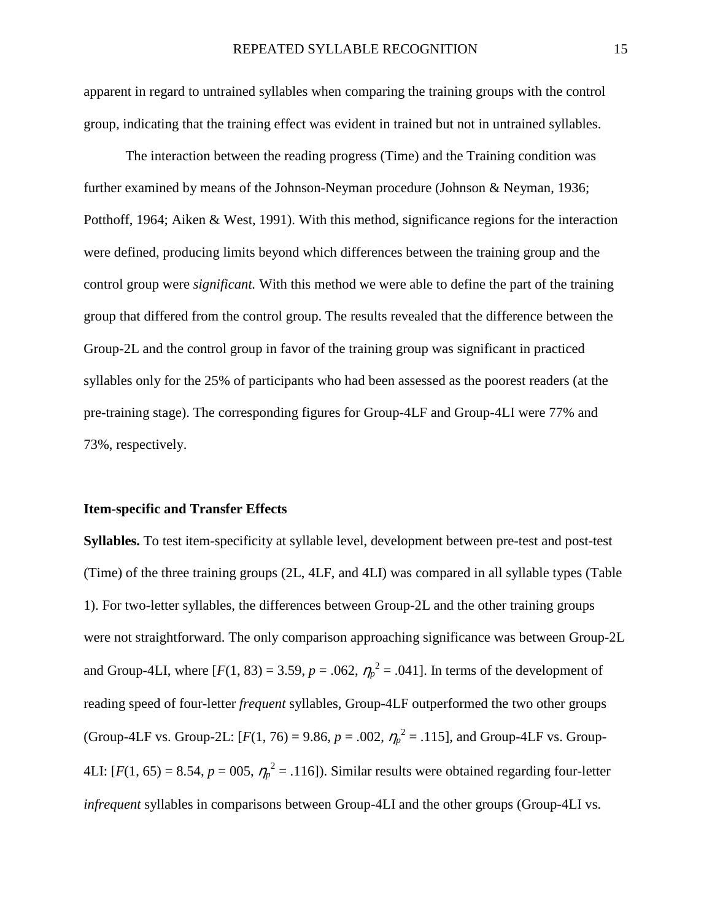apparent in regard to untrained syllables when comparing the training groups with the control group, indicating that the training effect was evident in trained but not in untrained syllables.

The interaction between the reading progress (Time) and the Training condition was further examined by means of the Johnson-Neyman procedure (Johnson & Neyman, 1936; Potthoff, 1964; Aiken & West, 1991). With this method, significance regions for the interaction were defined, producing limits beyond which differences between the training group and the control group were *significant.* With this method we were able to define the part of the training group that differed from the control group. The results revealed that the difference between the Group-2L and the control group in favor of the training group was significant in practiced syllables only for the 25% of participants who had been assessed as the poorest readers (at the pre-training stage). The corresponding figures for Group-4LF and Group-4LI were 77% and 73%, respectively.

#### **Item-specific and Transfer Effects**

**Syllables.** To test item-specificity at syllable level, development between pre-test and post-test (Time) of the three training groups (2L, 4LF, and 4LI) was compared in all syllable types (Table 1). For two-letter syllables, the differences between Group-2L and the other training groups were not straightforward. The only comparison approaching significance was between Group-2L and Group-4LI, where  $[F(1, 83) = 3.59, p = .062, \eta_p^2 = .041]$ . In terms of the development of reading speed of four-letter *frequent* syllables, Group-4LF outperformed the two other groups (Group-4LF vs. Group-2L:  $[F(1, 76) = 9.86, p = .002, \eta_p^2 = .115]$ , and Group-4LF vs. Group-4LI:  $[F(1, 65) = 8.54, p = 005, \eta_p^2 = .116]$ ). Similar results were obtained regarding four-letter *infrequent* syllables in comparisons between Group-4LI and the other groups (Group-4LI vs.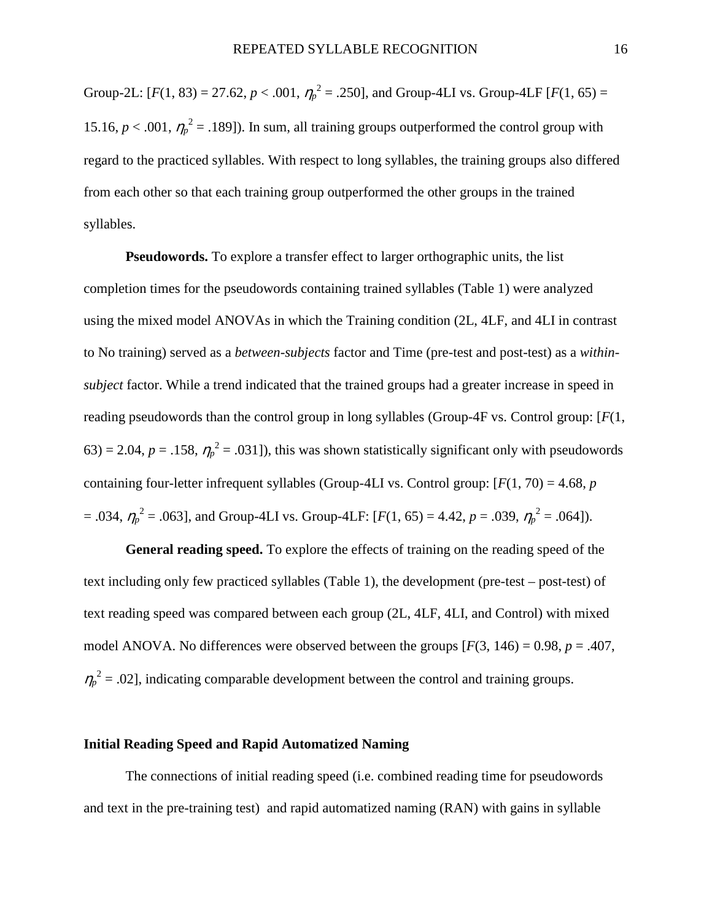Group-2L:  $[F(1, 83) = 27.62, p < .001, \eta_p^2 = .250]$ , and Group-4LI vs. Group-4LF  $[F(1, 65) =$ 15.16,  $p < .001$ ,  $\eta_p^2 = .189$ ]). In sum, all training groups outperformed the control group with regard to the practiced syllables. With respect to long syllables, the training groups also differed from each other so that each training group outperformed the other groups in the trained syllables.

**Pseudowords.** To explore a transfer effect to larger orthographic units, the list completion times for the pseudowords containing trained syllables (Table 1) were analyzed using the mixed model ANOVAs in which the Training condition (2L, 4LF, and 4LI in contrast to No training) served as a *between-subjects* factor and Time (pre-test and post-test) as a *withinsubject* factor. While a trend indicated that the trained groups had a greater increase in speed in reading pseudowords than the control group in long syllables (Group-4F vs. Control group: [*F*(1,  $(63) = 2.04$ ,  $p = .158$ ,  $\eta_p^2 = .031$ ]), this was shown statistically significant only with pseudowords containing four-letter infrequent syllables (Group-4LI vs. Control group: [*F*(1, 70) = 4.68, *p*  $= .034$ ,  $\eta_p^2 = .063$ , and Group-4LI vs. Group-4LF: [ $F(1, 65) = 4.42$ ,  $p = .039$ ,  $\eta_p^2 = .064$ ]).

**General reading speed.** To explore the effects of training on the reading speed of the text including only few practiced syllables (Table 1), the development (pre-test – post-test) of text reading speed was compared between each group (2L, 4LF, 4LI, and Control) with mixed model ANOVA. No differences were observed between the groups  $[F(3, 146) = 0.98, p = .407,$  $\eta_p^2$  = .02], indicating comparable development between the control and training groups.

## **Initial Reading Speed and Rapid Automatized Naming**

The connections of initial reading speed (i.e. combined reading time for pseudowords and text in the pre-training test) and rapid automatized naming (RAN) with gains in syllable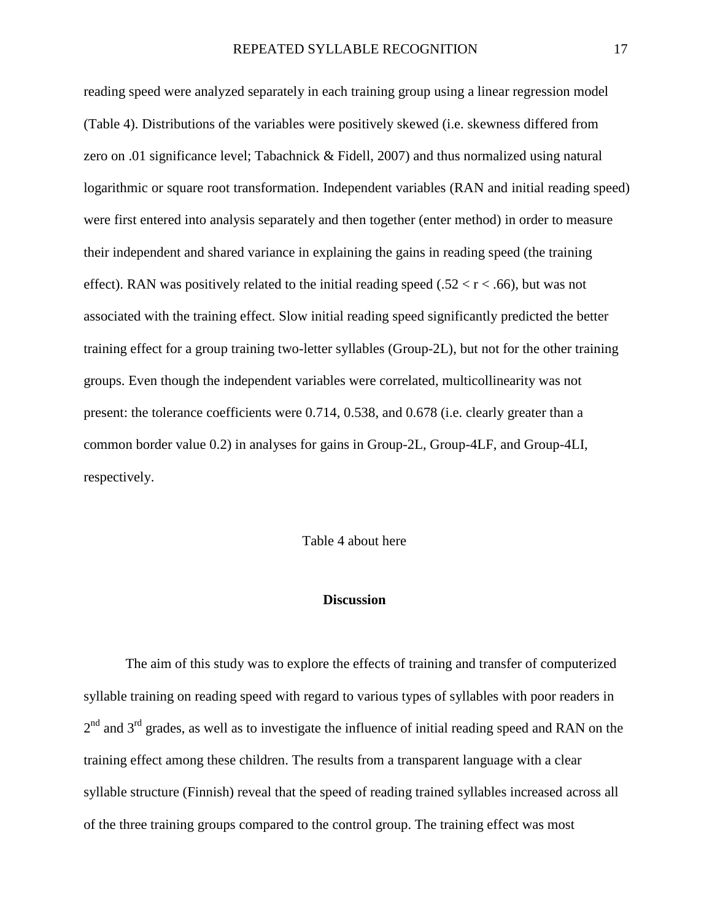reading speed were analyzed separately in each training group using a linear regression model (Table 4). Distributions of the variables were positively skewed (i.e. skewness differed from zero on .01 significance level; Tabachnick & Fidell, 2007) and thus normalized using natural logarithmic or square root transformation. Independent variables (RAN and initial reading speed) were first entered into analysis separately and then together (enter method) in order to measure their independent and shared variance in explaining the gains in reading speed (the training effect). RAN was positively related to the initial reading speed (.52  $\lt r \lt 0.66$ ), but was not associated with the training effect. Slow initial reading speed significantly predicted the better training effect for a group training two-letter syllables (Group-2L), but not for the other training groups. Even though the independent variables were correlated, multicollinearity was not present: the tolerance coefficients were 0.714, 0.538, and 0.678 (i.e. clearly greater than a common border value 0.2) in analyses for gains in Group-2L, Group-4LF, and Group-4LI, respectively.

Table 4 about here

## **Discussion**

The aim of this study was to explore the effects of training and transfer of computerized syllable training on reading speed with regard to various types of syllables with poor readers in  $2<sup>nd</sup>$  and  $3<sup>rd</sup>$  grades, as well as to investigate the influence of initial reading speed and RAN on the training effect among these children. The results from a transparent language with a clear syllable structure (Finnish) reveal that the speed of reading trained syllables increased across all of the three training groups compared to the control group. The training effect was most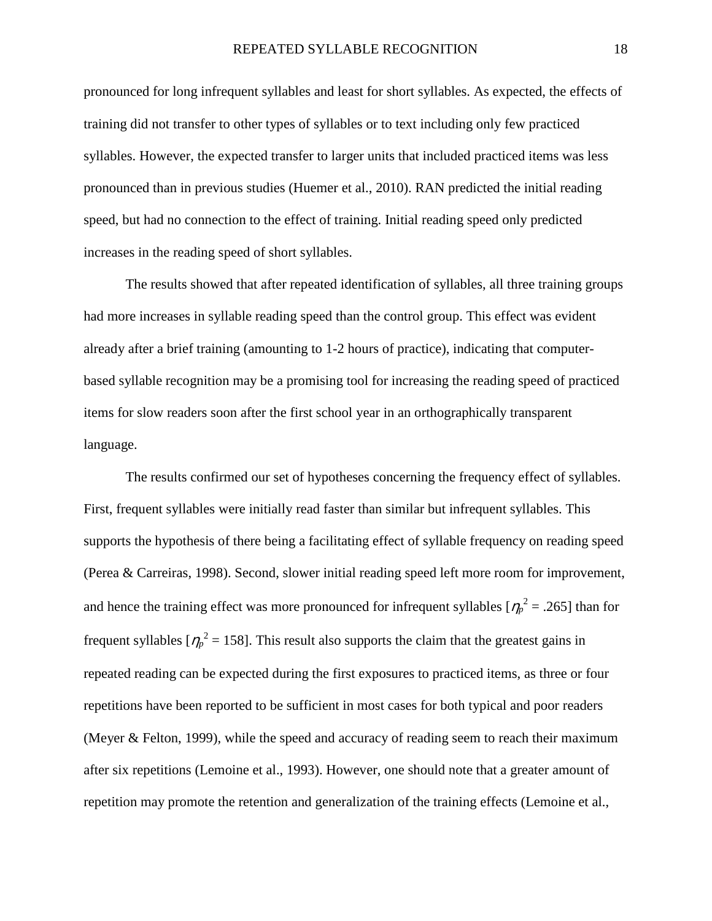pronounced for long infrequent syllables and least for short syllables. As expected, the effects of training did not transfer to other types of syllables or to text including only few practiced syllables. However, the expected transfer to larger units that included practiced items was less pronounced than in previous studies (Huemer et al., 2010). RAN predicted the initial reading speed, but had no connection to the effect of training. Initial reading speed only predicted increases in the reading speed of short syllables.

The results showed that after repeated identification of syllables, all three training groups had more increases in syllable reading speed than the control group. This effect was evident already after a brief training (amounting to 1-2 hours of practice), indicating that computerbased syllable recognition may be a promising tool for increasing the reading speed of practiced items for slow readers soon after the first school year in an orthographically transparent language.

The results confirmed our set of hypotheses concerning the frequency effect of syllables. First, frequent syllables were initially read faster than similar but infrequent syllables. This supports the hypothesis of there being a facilitating effect of syllable frequency on reading speed (Perea & Carreiras, 1998). Second, slower initial reading speed left more room for improvement, and hence the training effect was more pronounced for infrequent syllables  $[\eta_p^2 = .265]$  than for frequent syllables  $[\eta_p^2 = 158]$ . This result also supports the claim that the greatest gains in repeated reading can be expected during the first exposures to practiced items, as three or four repetitions have been reported to be sufficient in most cases for both typical and poor readers (Meyer & Felton, 1999), while the speed and accuracy of reading seem to reach their maximum after six repetitions (Lemoine et al., 1993). However, one should note that a greater amount of repetition may promote the retention and generalization of the training effects (Lemoine et al.,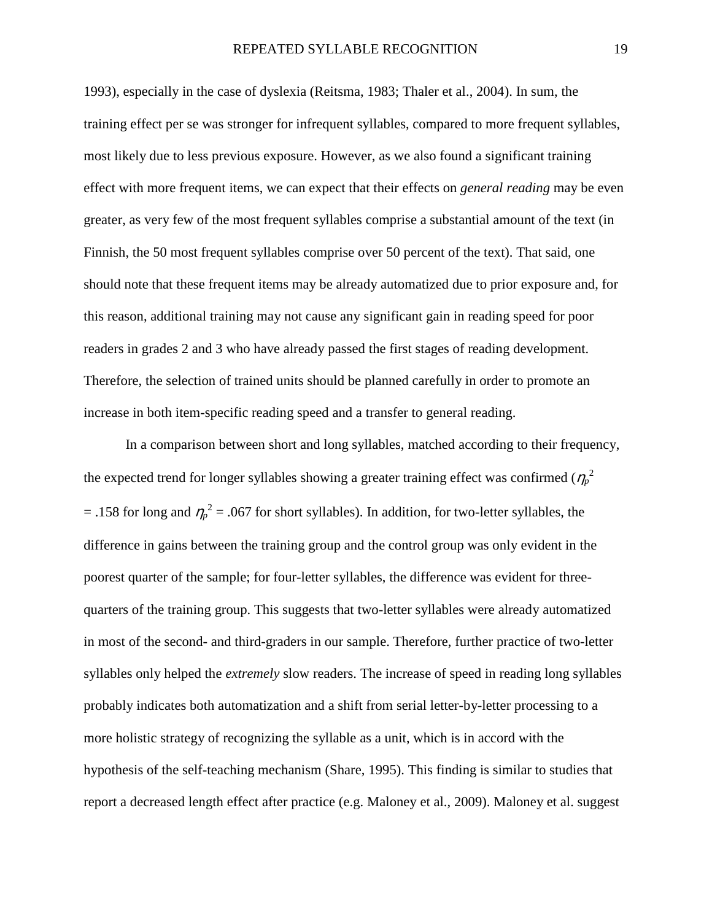1993), especially in the case of dyslexia (Reitsma, 1983; Thaler et al., 2004). In sum, the training effect per se was stronger for infrequent syllables, compared to more frequent syllables, most likely due to less previous exposure. However, as we also found a significant training effect with more frequent items, we can expect that their effects on *general reading* may be even greater, as very few of the most frequent syllables comprise a substantial amount of the text (in Finnish, the 50 most frequent syllables comprise over 50 percent of the text). That said, one should note that these frequent items may be already automatized due to prior exposure and, for this reason, additional training may not cause any significant gain in reading speed for poor readers in grades 2 and 3 who have already passed the first stages of reading development. Therefore, the selection of trained units should be planned carefully in order to promote an increase in both item-specific reading speed and a transfer to general reading.

In a comparison between short and long syllables, matched according to their frequency, the expected trend for longer syllables showing a greater training effect was confirmed ( $\eta_p^2$ )  $=$  .158 for long and  $\eta_p^2 = .067$  for short syllables). In addition, for two-letter syllables, the difference in gains between the training group and the control group was only evident in the poorest quarter of the sample; for four-letter syllables, the difference was evident for threequarters of the training group. This suggests that two-letter syllables were already automatized in most of the second- and third-graders in our sample. Therefore, further practice of two-letter syllables only helped the *extremely* slow readers. The increase of speed in reading long syllables probably indicates both automatization and a shift from serial letter-by-letter processing to a more holistic strategy of recognizing the syllable as a unit, which is in accord with the hypothesis of the self-teaching mechanism (Share, 1995). This finding is similar to studies that report a decreased length effect after practice (e.g. Maloney et al., 2009). Maloney et al. suggest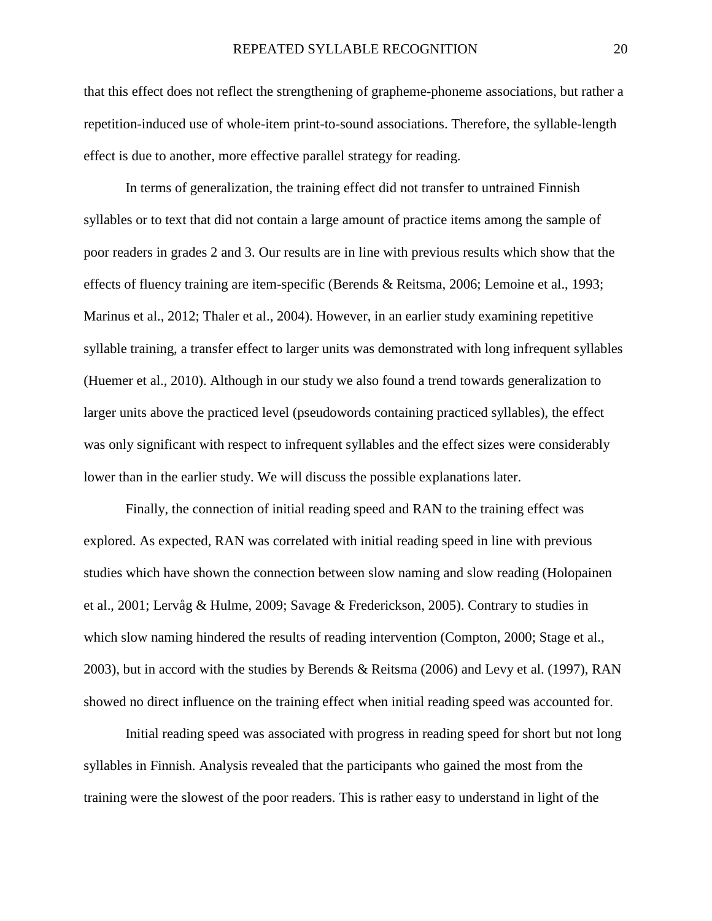that this effect does not reflect the strengthening of grapheme-phoneme associations, but rather a repetition-induced use of whole-item print-to-sound associations. Therefore, the syllable-length effect is due to another, more effective parallel strategy for reading.

In terms of generalization, the training effect did not transfer to untrained Finnish syllables or to text that did not contain a large amount of practice items among the sample of poor readers in grades 2 and 3. Our results are in line with previous results which show that the effects of fluency training are item-specific (Berends & Reitsma, 2006; Lemoine et al., 1993; Marinus et al., 2012; Thaler et al., 2004). However, in an earlier study examining repetitive syllable training, a transfer effect to larger units was demonstrated with long infrequent syllables (Huemer et al., 2010). Although in our study we also found a trend towards generalization to larger units above the practiced level (pseudowords containing practiced syllables), the effect was only significant with respect to infrequent syllables and the effect sizes were considerably lower than in the earlier study. We will discuss the possible explanations later.

Finally, the connection of initial reading speed and RAN to the training effect was explored. As expected, RAN was correlated with initial reading speed in line with previous studies which have shown the connection between slow naming and slow reading (Holopainen et al., 2001; Lervåg & Hulme, 2009; Savage & Frederickson, 2005). Contrary to studies in which slow naming hindered the results of reading intervention (Compton, 2000; Stage et al., 2003), but in accord with the studies by Berends & Reitsma (2006) and Levy et al. (1997), RAN showed no direct influence on the training effect when initial reading speed was accounted for.

Initial reading speed was associated with progress in reading speed for short but not long syllables in Finnish. Analysis revealed that the participants who gained the most from the training were the slowest of the poor readers. This is rather easy to understand in light of the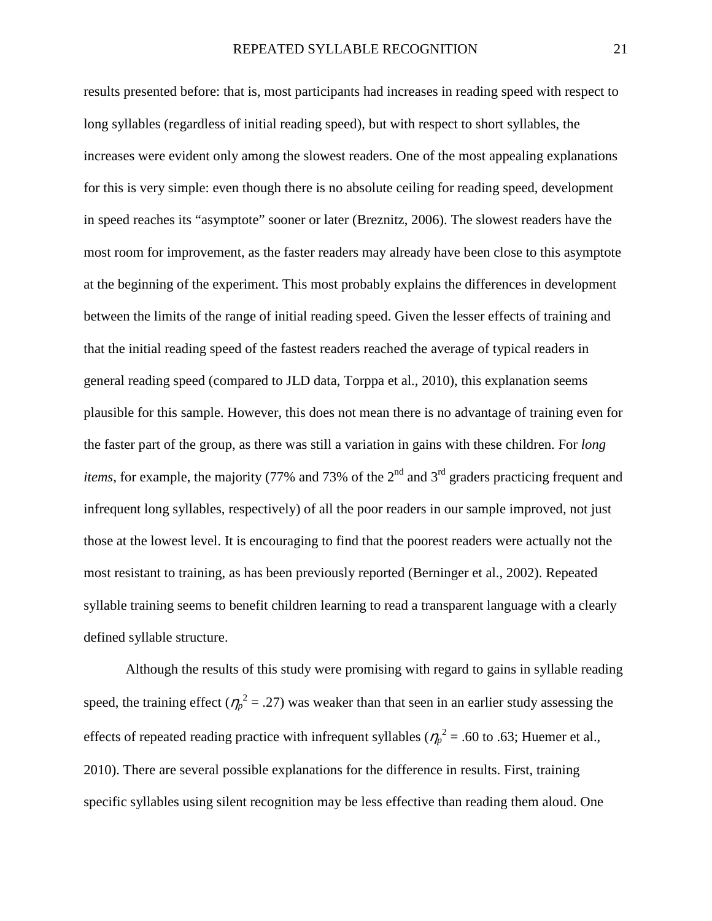results presented before: that is, most participants had increases in reading speed with respect to long syllables (regardless of initial reading speed), but with respect to short syllables, the increases were evident only among the slowest readers. One of the most appealing explanations for this is very simple: even though there is no absolute ceiling for reading speed, development in speed reaches its "asymptote" sooner or later (Breznitz, 2006). The slowest readers have the most room for improvement, as the faster readers may already have been close to this asymptote at the beginning of the experiment. This most probably explains the differences in development between the limits of the range of initial reading speed. Given the lesser effects of training and that the initial reading speed of the fastest readers reached the average of typical readers in general reading speed (compared to JLD data, Torppa et al., 2010), this explanation seems plausible for this sample. However, this does not mean there is no advantage of training even for the faster part of the group, as there was still a variation in gains with these children. For *long items*, for example, the majority (77% and 73% of the  $2<sup>nd</sup>$  and  $3<sup>rd</sup>$  graders practicing frequent and infrequent long syllables, respectively) of all the poor readers in our sample improved, not just those at the lowest level. It is encouraging to find that the poorest readers were actually not the most resistant to training, as has been previously reported (Berninger et al., 2002). Repeated syllable training seems to benefit children learning to read a transparent language with a clearly defined syllable structure.

Although the results of this study were promising with regard to gains in syllable reading speed, the training effect ( $\eta_p^2 = .27$ ) was weaker than that seen in an earlier study assessing the effects of repeated reading practice with infrequent syllables ( $\eta_p^2$  = .60 to .63; Huemer et al., 2010). There are several possible explanations for the difference in results. First, training specific syllables using silent recognition may be less effective than reading them aloud. One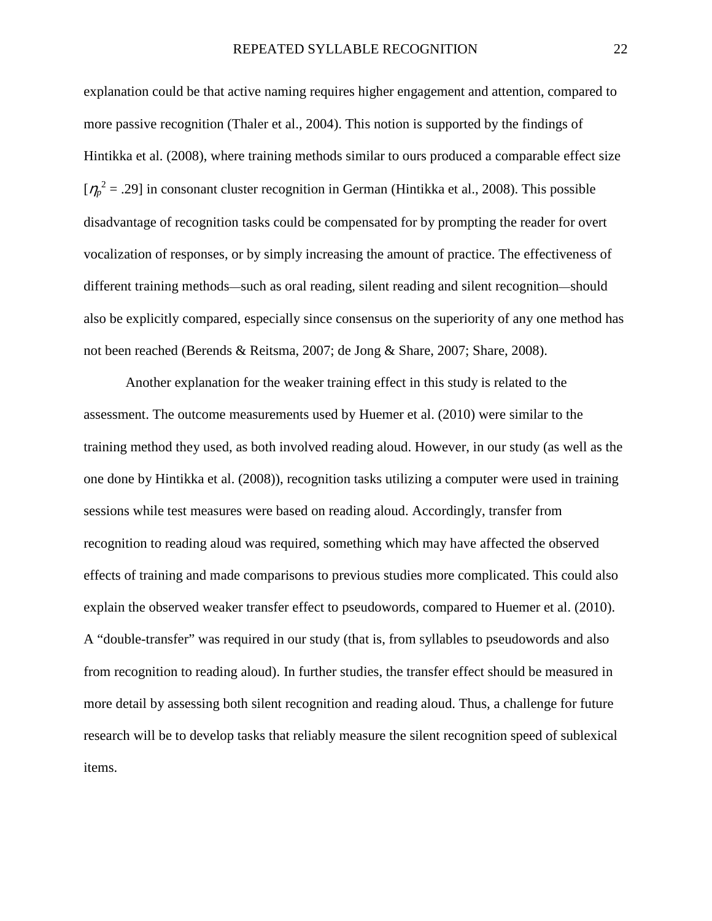explanation could be that active naming requires higher engagement and attention, compared to more passive recognition (Thaler et al., 2004). This notion is supported by the findings of Hintikka et al. (2008), where training methods similar to ours produced a comparable effect size  $[\eta_p^2 = .29]$  in consonant cluster recognition in German (Hintikka et al., 2008). This possible disadvantage of recognition tasks could be compensated for by prompting the reader for overt vocalization of responses, or by simply increasing the amount of practice. The effectiveness of different training methods—such as oral reading, silent reading and silent recognition—should also be explicitly compared, especially since consensus on the superiority of any one method has not been reached (Berends & Reitsma, 2007; de Jong & Share, 2007; Share, 2008).

Another explanation for the weaker training effect in this study is related to the assessment. The outcome measurements used by Huemer et al. (2010) were similar to the training method they used, as both involved reading aloud. However, in our study (as well as the one done by Hintikka et al. (2008)), recognition tasks utilizing a computer were used in training sessions while test measures were based on reading aloud. Accordingly, transfer from recognition to reading aloud was required, something which may have affected the observed effects of training and made comparisons to previous studies more complicated. This could also explain the observed weaker transfer effect to pseudowords, compared to Huemer et al. (2010). A "double-transfer" was required in our study (that is, from syllables to pseudowords and also from recognition to reading aloud). In further studies, the transfer effect should be measured in more detail by assessing both silent recognition and reading aloud. Thus, a challenge for future research will be to develop tasks that reliably measure the silent recognition speed of sublexical items.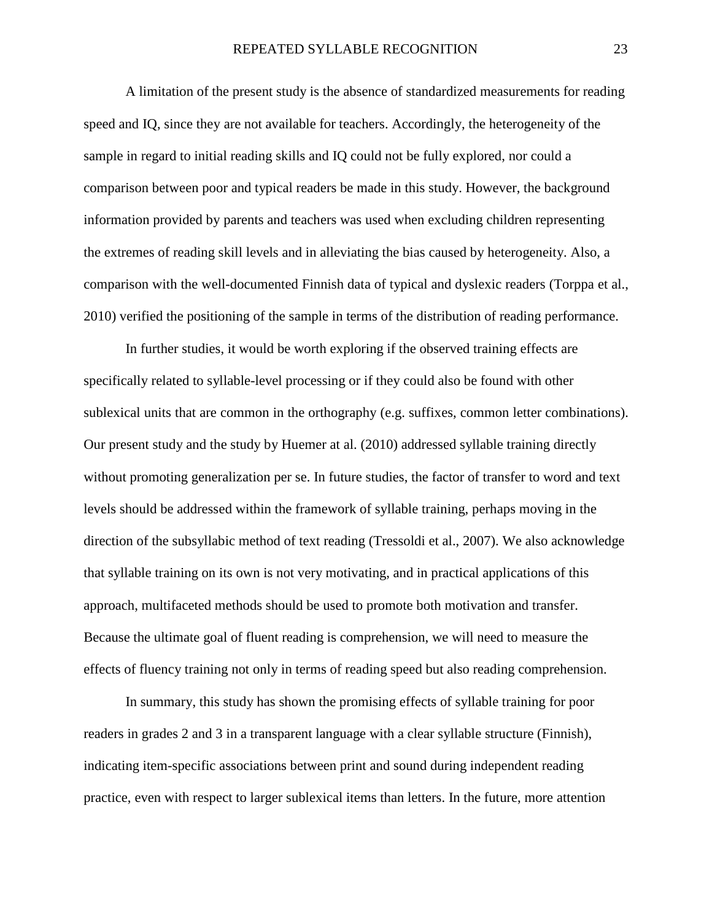A limitation of the present study is the absence of standardized measurements for reading speed and IQ, since they are not available for teachers. Accordingly, the heterogeneity of the sample in regard to initial reading skills and IQ could not be fully explored, nor could a comparison between poor and typical readers be made in this study. However, the background information provided by parents and teachers was used when excluding children representing the extremes of reading skill levels and in alleviating the bias caused by heterogeneity. Also, a comparison with the well-documented Finnish data of typical and dyslexic readers (Torppa et al., 2010) verified the positioning of the sample in terms of the distribution of reading performance.

In further studies, it would be worth exploring if the observed training effects are specifically related to syllable-level processing or if they could also be found with other sublexical units that are common in the orthography (e.g. suffixes, common letter combinations). Our present study and the study by Huemer at al. (2010) addressed syllable training directly without promoting generalization per se. In future studies, the factor of transfer to word and text levels should be addressed within the framework of syllable training, perhaps moving in the direction of the subsyllabic method of text reading (Tressoldi et al., 2007). We also acknowledge that syllable training on its own is not very motivating, and in practical applications of this approach, multifaceted methods should be used to promote both motivation and transfer. Because the ultimate goal of fluent reading is comprehension, we will need to measure the effects of fluency training not only in terms of reading speed but also reading comprehension.

In summary, this study has shown the promising effects of syllable training for poor readers in grades 2 and 3 in a transparent language with a clear syllable structure (Finnish), indicating item-specific associations between print and sound during independent reading practice, even with respect to larger sublexical items than letters. In the future, more attention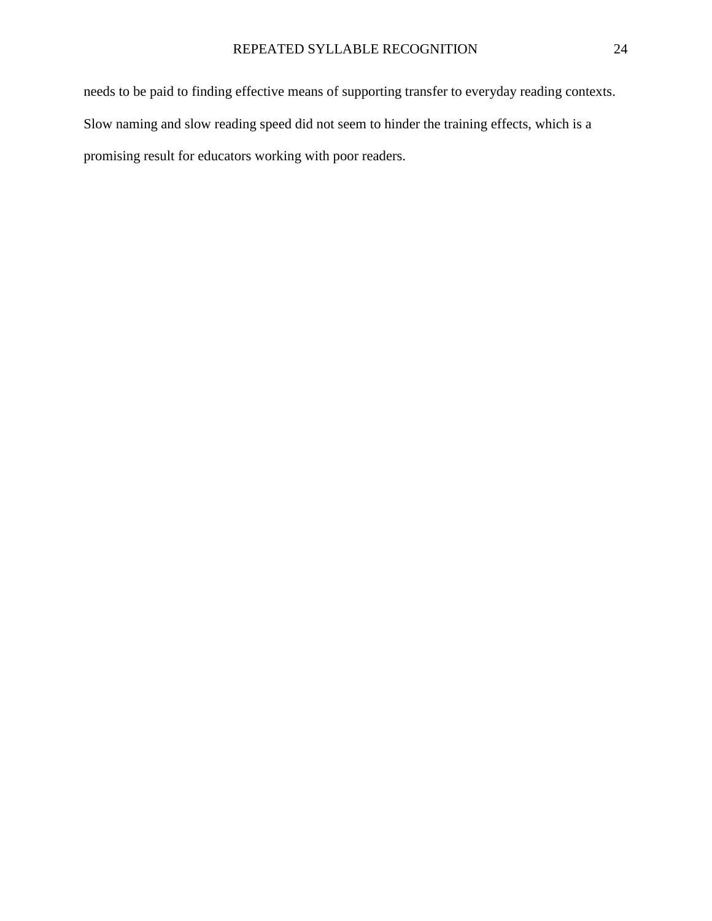needs to be paid to finding effective means of supporting transfer to everyday reading contexts. Slow naming and slow reading speed did not seem to hinder the training effects, which is a promising result for educators working with poor readers.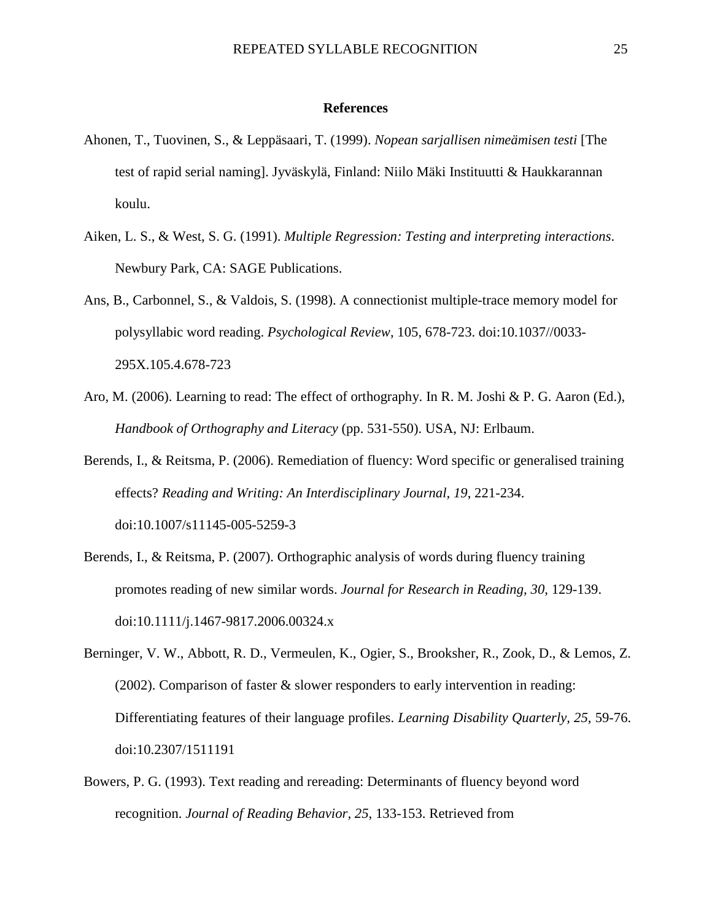#### **References**

- Ahonen, T., Tuovinen, S., & Leppäsaari, T. (1999). *Nopean sarjallisen nimeämisen testi* [The test of rapid serial naming]. Jyväskylä, Finland: Niilo Mäki Instituutti & Haukkarannan koulu.
- Aiken, L. S., & West, S. G. (1991). *Multiple Regression: Testing and interpreting interactions*. Newbury Park, CA: SAGE Publications.
- Ans, B., Carbonnel, S., & Valdois, S. (1998). A connectionist multiple-trace memory model for polysyllabic word reading. *Psychological Review*, 105, 678-723. doi:10.1037//0033- 295X.105.4.678-723
- Aro, M. (2006). Learning to read: The effect of orthography. In R. M. Joshi & P. G. Aaron (Ed.), *Handbook of Orthography and Literacy* (pp. 531-550). USA, NJ: Erlbaum.
- Berends, I., & Reitsma, P. (2006). Remediation of fluency: Word specific or generalised training effects? *Reading and Writing: An Interdisciplinary Journal, 19*, 221-234. doi:10.1007/s11145-005-5259-3
- Berends, I., & Reitsma, P. (2007). Orthographic analysis of words during fluency training promotes reading of new similar words. *Journal for Research in Reading, 30*, 129-139. doi:10.1111/j.1467-9817.2006.00324.x
- Berninger, V. W., Abbott, R. D., Vermeulen, K., Ogier, S., Brooksher, R., Zook, D., & Lemos, Z. (2002). Comparison of faster & slower responders to early intervention in reading: Differentiating features of their language profiles. *Learning Disability Quarterly, 25*, 59-76. doi:10.2307/1511191
- Bowers, P. G. (1993). Text reading and rereading: Determinants of fluency beyond word recognition. *Journal of Reading Behavior, 25*, 133-153. Retrieved from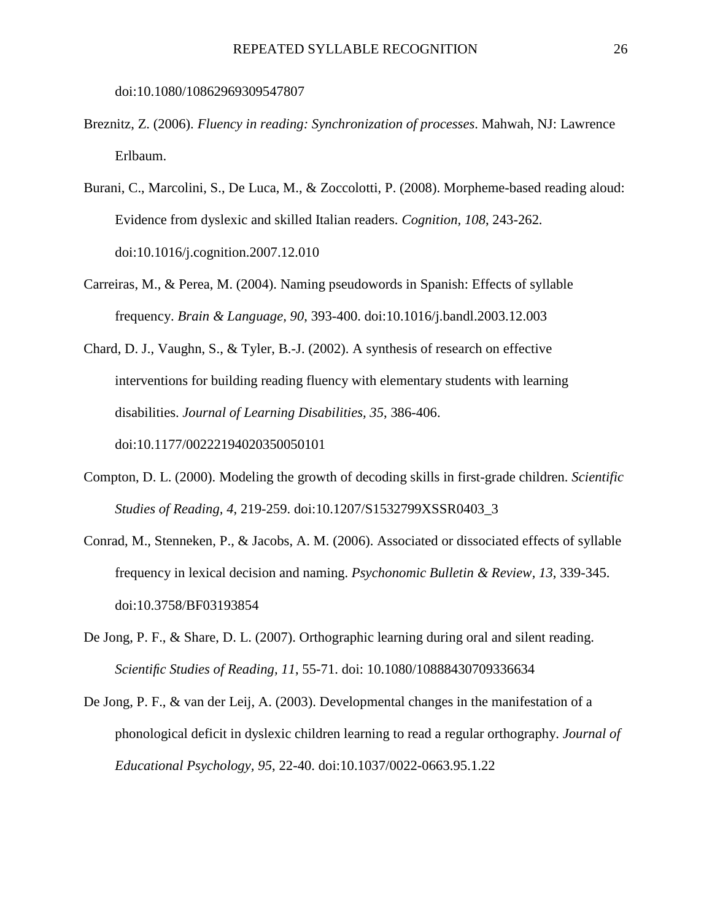doi:10.1080/10862969309547807

- Breznitz, Z. (2006). *Fluency in reading: Synchronization of processes*. Mahwah, NJ: Lawrence Erlbaum.
- Burani, C., Marcolini, S., De Luca, M., & Zoccolotti, P. (2008). Morpheme-based reading aloud: Evidence from dyslexic and skilled Italian readers. *Cognition, 108*, 243-262. doi:10.1016/j.cognition.2007.12.010
- Carreiras, M., & Perea, M. (2004). Naming pseudowords in Spanish: Effects of syllable frequency. *Brain & Language, 90*, 393-400. doi:10.1016/j.bandl.2003.12.003
- Chard, D. J., Vaughn, S., & Tyler, B.-J. (2002). A synthesis of research on effective interventions for building reading fluency with elementary students with learning disabilities. *Journal of Learning Disabilities, 35*, 386-406. doi:10.1177/00222194020350050101
- Compton, D. L. (2000). Modeling the growth of decoding skills in first-grade children. *Scientific Studies of Reading, 4*, 219-259. doi:10.1207/S1532799XSSR0403\_3
- Conrad, M., Stenneken, P., & Jacobs, A. M. (2006). Associated or dissociated effects of syllable frequency in lexical decision and naming. *Psychonomic Bulletin & Review, 13*, 339-345. doi:10.3758/BF03193854
- De Jong, P. F., & Share, D. L. (2007). Orthographic learning during oral and silent reading. *Scientific Studies of Reading, 11*, 55-71. doi: 10.1080/10888430709336634
- De Jong, P. F., & van der Leij, A. (2003). Developmental changes in the manifestation of a phonological deficit in dyslexic children learning to read a regular orthography. *Journal of Educational Psychology, 95*, 22-40. doi:10.1037/0022-0663.95.1.22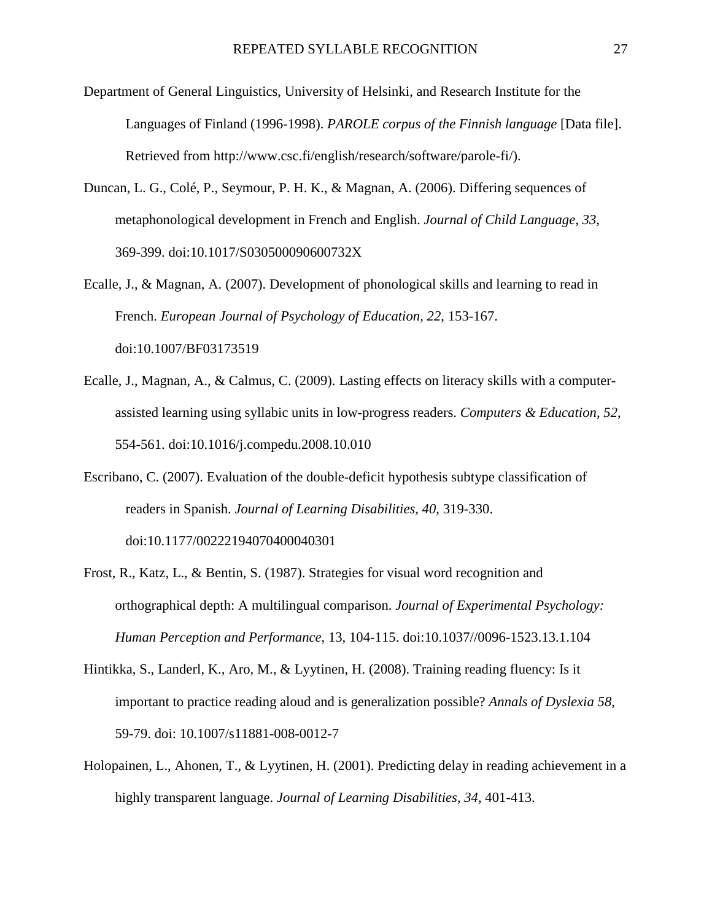- Department of General Linguistics, University of Helsinki, and Research Institute for the Languages of Finland (1996-1998). *PAROLE corpus of the Finnish language* [Data file]. Retrieved from http://www.csc.fi/english/research/software/parole-fi/).
- Duncan, L. G., Colé, P., Seymour, P. H. K., & Magnan, A. (2006). Differing sequences of metaphonological development in French and English. *Journal of Child Language, 33*, 369-399. doi:10.1017/S030500090600732X
- Ecalle, J., & Magnan, A. (2007). Development of phonological skills and learning to read in French. *European Journal of Psychology of Education, 22*, 153-167. doi:10.1007/BF03173519
- Ecalle, J., Magnan, A., & Calmus, C. (2009). Lasting effects on literacy skills with a computerassisted learning using syllabic units in low-progress readers. *Computers & Education, 52*, 554-561. doi:10.1016/j.compedu.2008.10.010
- Escribano, C. (2007). Evaluation of the double-deficit hypothesis subtype classification of readers in Spanish. *Journal of Learning Disabilities, 40*, 319-330. doi:10.1177/00222194070400040301
- Frost, R., Katz, L., & Bentin, S. (1987). Strategies for visual word recognition and orthographical depth: A multilingual comparison. *Journal of Experimental Psychology: Human Perception and Performance*, 13, 104-115. doi:10.1037//0096-1523.13.1.104
- Hintikka, S., Landerl, K., Aro, M., & Lyytinen, H. (2008). Training reading fluency: Is it important to practice reading aloud and is generalization possible? *Annals of Dyslexia 58*, 59-79. doi: 10.1007/s11881-008-0012-7
- Holopainen, L., Ahonen, T., & Lyytinen, H. (2001). Predicting delay in reading achievement in a highly transparent language. *Journal of Learning Disabilities, 34*, 401-413.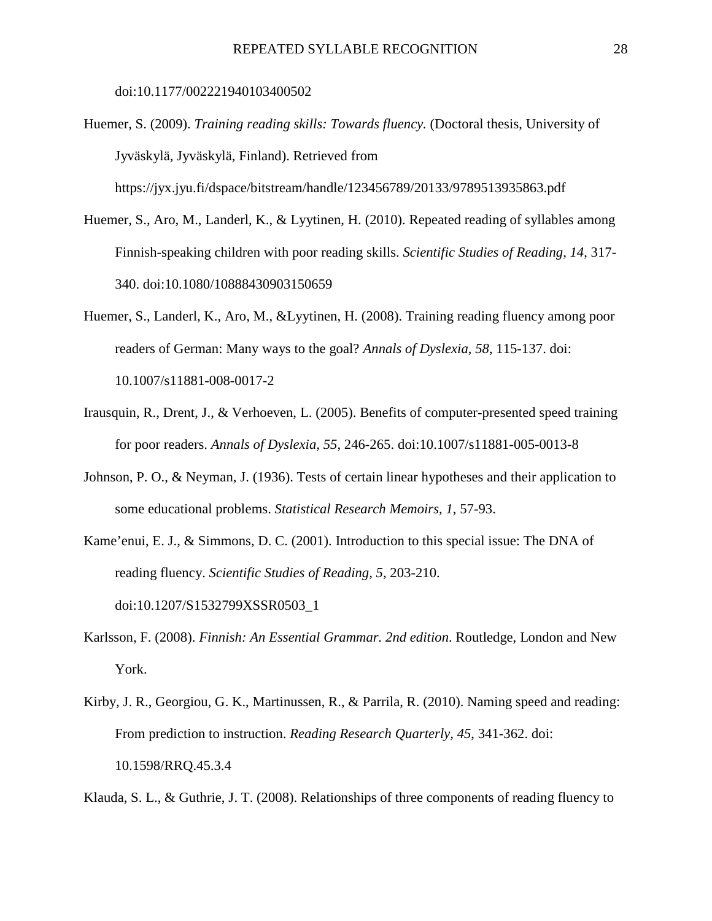doi:10.1177/002221940103400502

- Huemer, S. (2009). *Training reading skills: Towards fluency.* (Doctoral thesis, University of Jyväskylä, Jyväskylä, Finland). Retrieved from https://jyx.jyu.fi/dspace/bitstream/handle/123456789/20133/9789513935863.pdf
- Huemer, S., Aro, M., Landerl, K., & Lyytinen, H. (2010). Repeated reading of syllables among Finnish-speaking children with poor reading skills. *Scientific Studies of Reading*, *14*, 317- 340. doi:10.1080/10888430903150659
- Huemer, S., Landerl, K., Aro, M., &Lyytinen, H. (2008). Training reading fluency among poor readers of German: Many ways to the goal? *Annals of Dyslexia, 58*, 115-137. doi: 10.1007/s11881-008-0017-2
- Irausquin, R., Drent, J., & Verhoeven, L. (2005). Benefits of computer-presented speed training for poor readers. *Annals of Dyslexia, 55*, 246-265. doi:10.1007/s11881-005-0013-8
- Johnson, P. O., & Neyman, J. (1936). Tests of certain linear hypotheses and their application to some educational problems. *Statistical Research Memoirs, 1*, 57-93.
- Kame'enui, E. J., & Simmons, D. C. (2001). Introduction to this special issue: The DNA of reading fluency. *Scientific Studies of Reading, 5,* 203-210. doi:10.1207/S1532799XSSR0503\_1
- Karlsson, F. (2008). *Finnish: An Essential Grammar. 2nd edition*. Routledge, London and New York.
- Kirby, J. R., Georgiou, G. K., Martinussen, R., & Parrila, R. (2010). Naming speed and reading: From prediction to instruction. *Reading Research Quarterly, 45*, 341-362. doi: 10.1598/RRQ.45.3.4

Klauda, S. L., & Guthrie, J. T. (2008). Relationships of three components of reading fluency to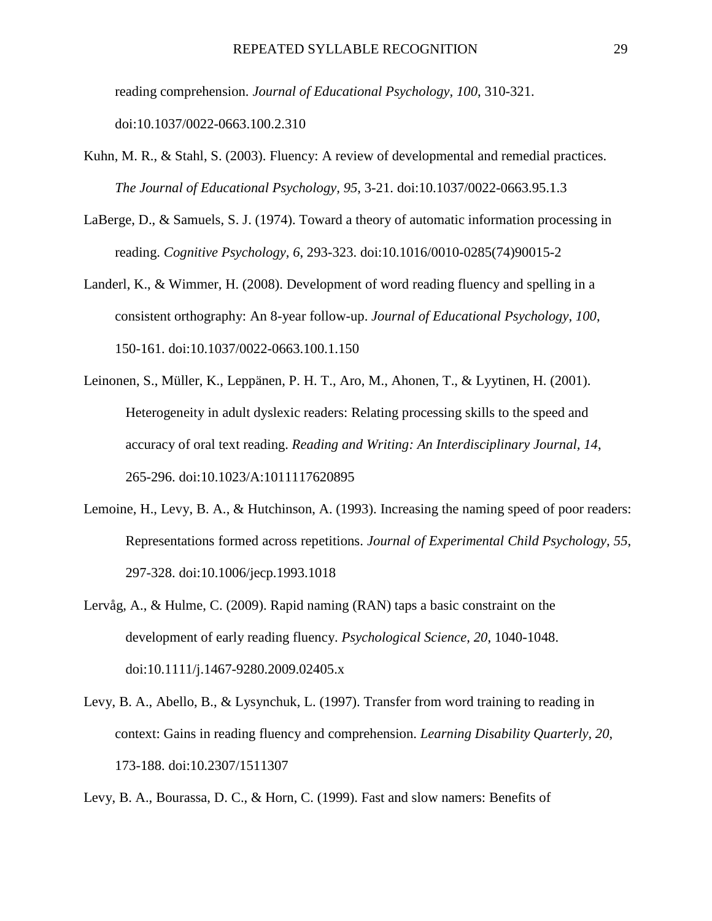reading comprehension. *Journal of Educational Psychology, 100*, 310-321. doi:10.1037/0022-0663.100.2.310

- Kuhn, M. R., & Stahl, S. (2003). Fluency: A review of developmental and remedial practices. *The Journal of Educational Psychology, 95*, 3-21. doi:10.1037/0022-0663.95.1.3
- LaBerge, D., & Samuels, S. J. (1974). Toward a theory of automatic information processing in reading. *Cognitive Psychology, 6*, 293-323. doi:10.1016/0010-0285(74)90015-2
- Landerl, K., & Wimmer, H. (2008). Development of word reading fluency and spelling in a consistent orthography: An 8-year follow-up. *Journal of Educational Psychology, 100*, 150-161. doi:10.1037/0022-0663.100.1.150
- Leinonen, S., Müller, K., Leppänen, P. H. T., Aro, M., Ahonen, T., & Lyytinen, H. (2001). Heterogeneity in adult dyslexic readers: Relating processing skills to the speed and accuracy of oral text reading. *Reading and Writing: An Interdisciplinary Journal, 14*, 265-296. doi:10.1023/A:1011117620895
- Lemoine, H., Levy, B. A., & Hutchinson, A. (1993). Increasing the naming speed of poor readers: Representations formed across repetitions. *Journal of Experimental Child Psychology, 55*, 297-328. doi:10.1006/jecp.1993.1018
- Lervåg, A., & Hulme, C. (2009). Rapid naming (RAN) taps a basic constraint on the development of early reading fluency. *Psychological Science, 20*, 1040-1048. doi:10.1111/j.1467-9280.2009.02405.x
- Levy, B. A., Abello, B., & Lysynchuk, L. (1997). Transfer from word training to reading in context: Gains in reading fluency and comprehension. *Learning Disability Quarterly, 20*, 173-188. doi:10.2307/1511307

Levy, B. A., Bourassa, D. C., & Horn, C. (1999). Fast and slow namers: Benefits of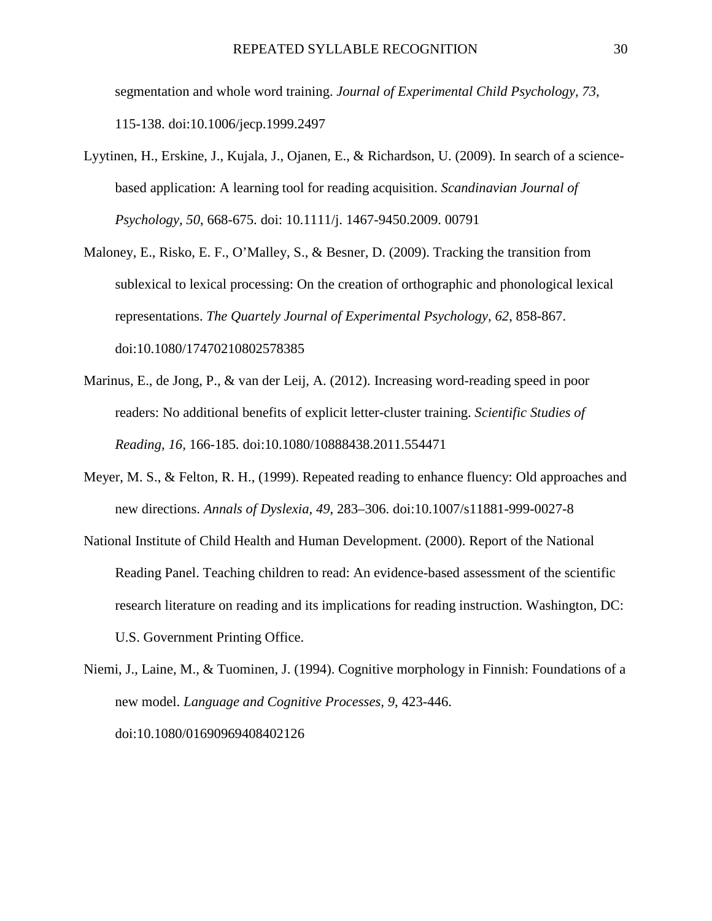segmentation and whole word training. *Journal of Experimental Child Psychology, 73*, 115-138. doi:10.1006/jecp.1999.2497

- Lyytinen, H., Erskine, J., Kujala, J., Ojanen, E., & Richardson, U. (2009). In search of a sciencebased application: A learning tool for reading acquisition. *Scandinavian Journal of Psychology, 50*, 668-675. doi: 10.1111/j. 1467-9450.2009. 00791
- Maloney, E., Risko, E. F., O'Malley, S., & Besner, D. (2009). Tracking the transition from sublexical to lexical processing: On the creation of orthographic and phonological lexical representations. *The Quartely Journal of Experimental Psychology, 62*, 858-867. doi:10.1080/17470210802578385
- Marinus, E., de Jong, P., & van der Leij, A. (2012). Increasing word-reading speed in poor readers: No additional benefits of explicit letter-cluster training. *Scientific Studies of Reading, 16,* 166-185*.* doi:10.1080/10888438.2011.554471
- Meyer, M. S., & Felton, R. H., (1999). Repeated reading to enhance fluency: Old approaches and new directions. *Annals of Dyslexia, 49*, 283–306. doi:10.1007/s11881-999-0027-8
- National Institute of Child Health and Human Development. (2000). Report of the National Reading Panel. Teaching children to read: An evidence-based assessment of the scientific research literature on reading and its implications for reading instruction. Washington, DC: U.S. Government Printing Office.

Niemi, J., Laine, M., & Tuominen, J. (1994). Cognitive morphology in Finnish: Foundations of a new model. *Language and Cognitive Processes, 9,* 423-446. doi:10.1080/01690969408402126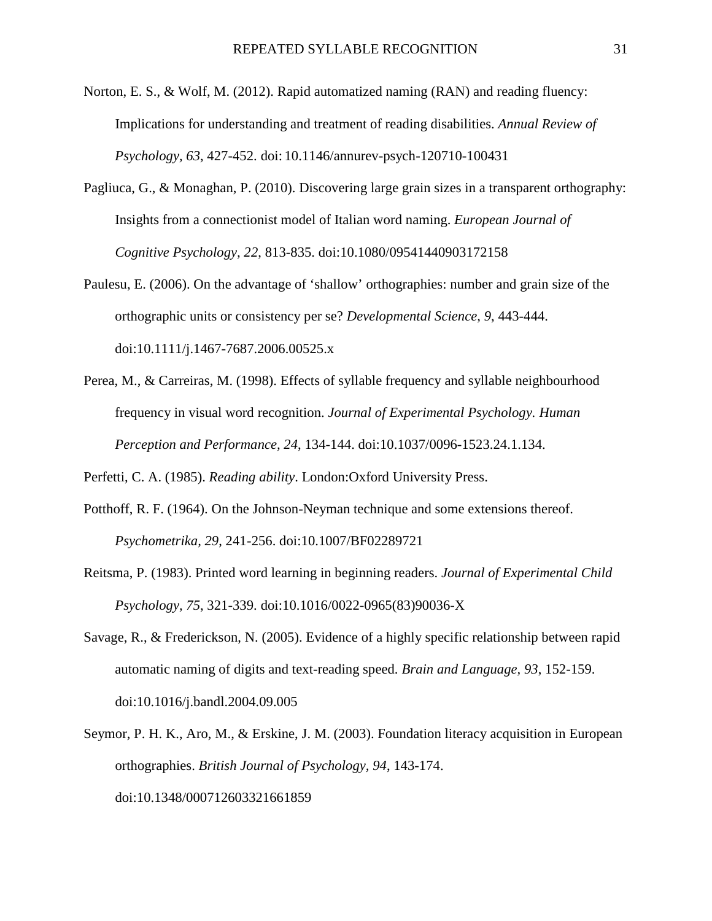- Norton, E. S., & Wolf, M. (2012). Rapid automatized naming (RAN) and reading fluency: Implications for understanding and treatment of reading disabilities. *Annual Review of Psychology, 63*, 427-452. doi: 10.1146/annurev-psych-120710-100431
- Pagliuca, G., & Monaghan, P. (2010). Discovering large grain sizes in a transparent orthography: Insights from a connectionist model of Italian word naming. *European Journal of Cognitive Psychology, 22*, 813-835. doi:10.1080/09541440903172158
- Paulesu, E. (2006). On the advantage of 'shallow' orthographies: number and grain size of the orthographic units or consistency per se? *Developmental Science, 9*, 443-444. doi:10.1111/j.1467-7687.2006.00525.x
- Perea, M., & Carreiras, M. (1998). Effects of syllable frequency and syllable neighbourhood frequency in visual word recognition. *Journal of Experimental Psychology. Human Perception and Performance, 24*, 134-144. doi:10.1037/0096-1523.24.1.134.

Perfetti, C. A. (1985). *Reading ability*. London:Oxford University Press.

- Potthoff, R. F. (1964). On the Johnson-Neyman technique and some extensions thereof. *Psychometrika, 29*, 241-256. doi:10.1007/BF02289721
- Reitsma, P. (1983). Printed word learning in beginning readers. *Journal of Experimental Child Psychology, 75*, 321-339. doi:10.1016/0022-0965(83)90036-X
- Savage, R., & Frederickson, N. (2005). Evidence of a highly specific relationship between rapid automatic naming of digits and text-reading speed. *Brain and Language, 93*, 152-159. doi:10.1016/j.bandl.2004.09.005
- Seymor, P. H. K., Aro, M., & Erskine, J. M. (2003). Foundation literacy acquisition in European orthographies. *British Journal of Psychology, 94*, 143-174. doi:10.1348/000712603321661859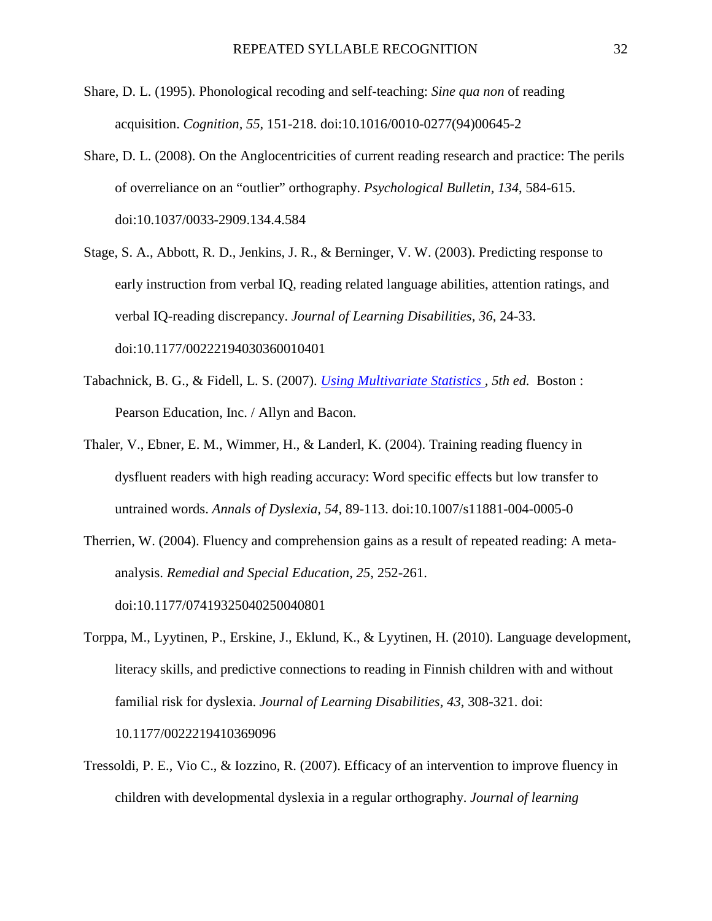- Share, D. L. (1995). Phonological recoding and self-teaching: *Sine qua non* of reading acquisition. *Cognition, 55*, 151-218. doi:10.1016/0010-0277(94)00645-2
- Share, D. L. (2008). On the Anglocentricities of current reading research and practice: The perils of overreliance on an "outlier" orthography. *Psychological Bulletin, 134*, 584-615. doi:10.1037/0033-2909.134.4.584
- Stage, S. A., Abbott, R. D., Jenkins, J. R., & Berninger, V. W. (2003). Predicting response to early instruction from verbal IQ, reading related language abilities, attention ratings, and verbal IQ-reading discrepancy. *Journal of Learning Disabilities, 36*, 24-33. doi:10.1177/00222194030360010401
- Tabachnick, B. G., & Fidell, L. S. (2007). *Using Multivariate Statistics , 5th ed.* Boston : Pearson Education, Inc. / Allyn and Bacon.
- Thaler, V., Ebner, E. M., Wimmer, H., & Landerl, K. (2004). Training reading fluency in dysfluent readers with high reading accuracy: Word specific effects but low transfer to untrained words. *Annals of Dyslexia, 54,* 89-113. doi:10.1007/s11881-004-0005-0
- Therrien, W. (2004). Fluency and comprehension gains as a result of repeated reading: A metaanalysis. *Remedial and Special Education, 25*, 252-261. doi:10.1177/07419325040250040801
- Torppa, M., Lyytinen, P., Erskine, J., Eklund, K., & Lyytinen, H. (2010). Language development, literacy skills, and predictive connections to reading in Finnish children with and without familial risk for dyslexia. *Journal of Learning Disabilities, 43*, 308-321. doi: 10.1177/0022219410369096
- Tressoldi, P. E., Vio C., & Iozzino, R. (2007). Efficacy of an intervention to improve fluency in children with developmental dyslexia in a regular orthography. *Journal of learning*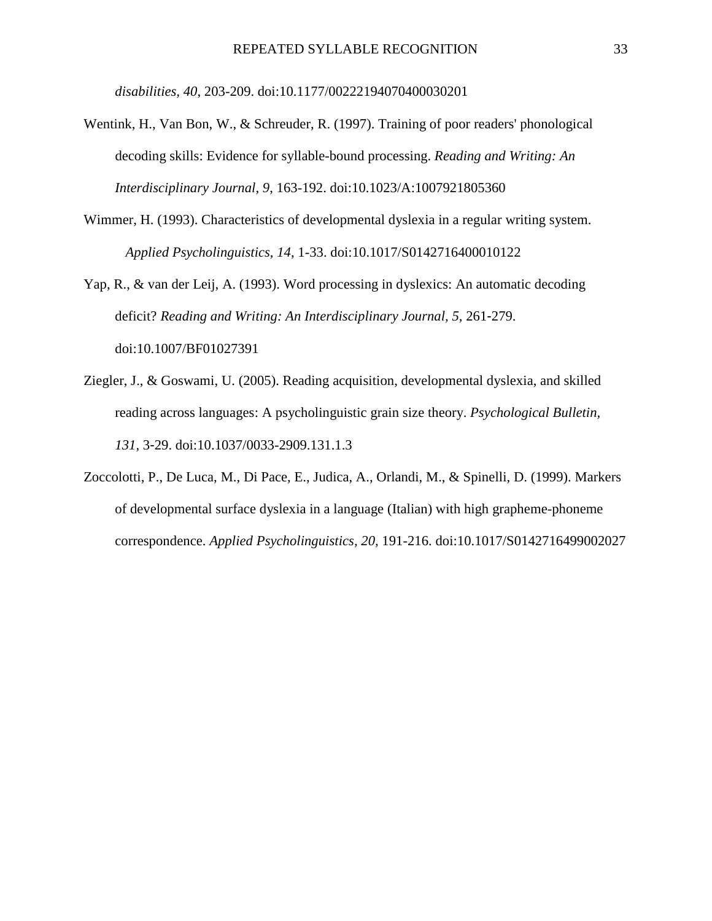*disabilities, 40*, 203-209. doi:10.1177/00222194070400030201

- Wentink, H., Van Bon, W., & Schreuder, R. (1997). Training of poor readers' phonological decoding skills: Evidence for syllable-bound processing. *Reading and Writing: An Interdisciplinary Journal, 9*, 163-192. doi:10.1023/A:1007921805360
- Wimmer, H. (1993). Characteristics of developmental dyslexia in a regular writing system. *Applied Psycholinguistics, 14,* 1-33. doi:10.1017/S0142716400010122
- Yap, R., & van der Leij, A. (1993). Word processing in dyslexics: An automatic decoding deficit? *Reading and Writing: An Interdisciplinary Journal, 5,* 261-279. doi:10.1007/BF01027391
- Ziegler, J., & Goswami, U. (2005). Reading acquisition, developmental dyslexia, and skilled reading across languages: A psycholinguistic grain size theory. *Psychological Bulletin, 131,* 3-29. doi:10.1037/0033-2909.131.1.3
- Zoccolotti, P., De Luca, M., Di Pace, E., Judica, A., Orlandi, M., & Spinelli, D. (1999). Markers of developmental surface dyslexia in a language (Italian) with high grapheme-phoneme correspondence. *Applied Psycholinguistics, 20,* 191-216. doi:10.1017/S0142716499002027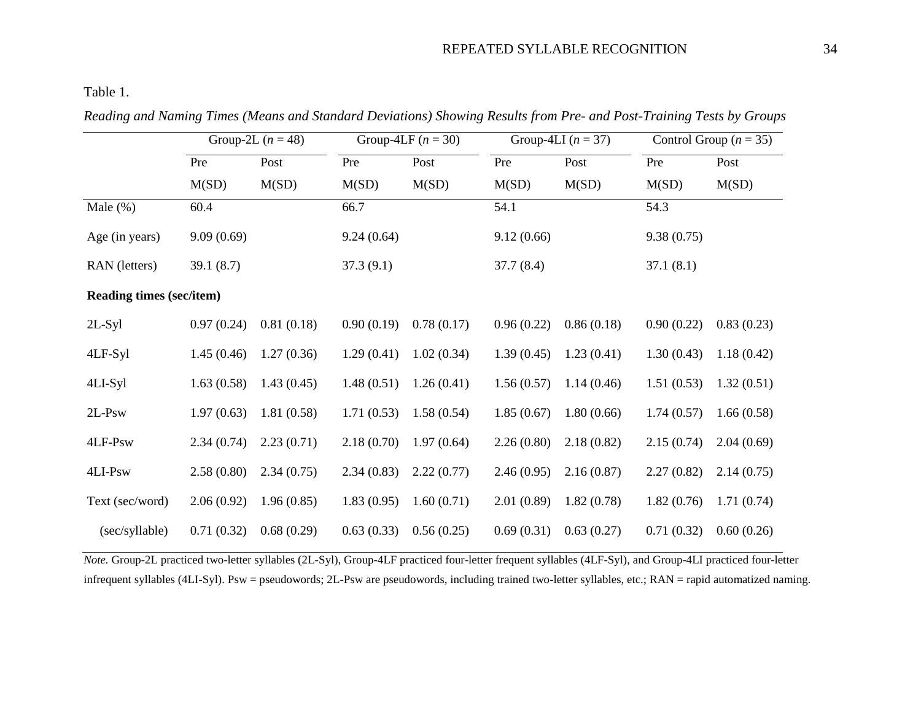# REPEATED SYLLABLE RECOGNITION 34

Table 1.

|                                 | Group-2L $(n = 48)$ |            | Group-4LF $(n = 30)$ |            | Group-4LI $(n = 37)$ |            | Control Group ( $n = 35$ ) |            |
|---------------------------------|---------------------|------------|----------------------|------------|----------------------|------------|----------------------------|------------|
|                                 | Pre                 | Post       | Pre                  | Post       | Pre                  | Post       | Pre                        | Post       |
|                                 | M(SD)               | M(SD)      | M(SD)                | M(SD)      | M(SD)                | M(SD)      | M(SD)                      | M(SD)      |
| Male $(\% )$                    | 60.4                |            | 66.7                 |            | 54.1                 |            | 54.3                       |            |
| Age (in years)                  | 9.09(0.69)          |            | 9.24(0.64)           |            | 9.12(0.66)           |            | 9.38(0.75)                 |            |
| RAN (letters)                   | 39.1(8.7)           |            | 37.3(9.1)            |            | 37.7(8.4)            |            | 37.1(8.1)                  |            |
| <b>Reading times (sec/item)</b> |                     |            |                      |            |                      |            |                            |            |
| $2L-Syl$                        | 0.97(0.24)          | 0.81(0.18) | 0.90(0.19)           | 0.78(0.17) | 0.96(0.22)           | 0.86(0.18) | 0.90(0.22)                 | 0.83(0.23) |
| 4LF-Syl                         | 1.45(0.46)          | 1.27(0.36) | 1.29(0.41)           | 1.02(0.34) | 1.39(0.45)           | 1.23(0.41) | 1.30(0.43)                 | 1.18(0.42) |
| 4LI-Syl                         | 1.63(0.58)          | 1.43(0.45) | 1.48(0.51)           | 1.26(0.41) | 1.56(0.57)           | 1.14(0.46) | 1.51(0.53)                 | 1.32(0.51) |
| $2L-Psw$                        | 1.97(0.63)          | 1.81(0.58) | 1.71(0.53)           | 1.58(0.54) | 1.85(0.67)           | 1.80(0.66) | 1.74(0.57)                 | 1.66(0.58) |
| 4LF-Psw                         | 2.34(0.74)          | 2.23(0.71) | 2.18(0.70)           | 1.97(0.64) | 2.26(0.80)           | 2.18(0.82) | 2.15(0.74)                 | 2.04(0.69) |
| 4LI-Psw                         | 2.58(0.80)          | 2.34(0.75) | 2.34(0.83)           | 2.22(0.77) | 2.46(0.95)           | 2.16(0.87) | 2.27(0.82)                 | 2.14(0.75) |
| Text (sec/word)                 | 2.06(0.92)          | 1.96(0.85) | 1.83(0.95)           | 1.60(0.71) | 2.01(0.89)           | 1.82(0.78) | 1.82(0.76)                 | 1.71(0.74) |
| (sec/syllable)                  | 0.71(0.32)          | 0.68(0.29) | 0.63(0.33)           | 0.56(0.25) | 0.69(0.31)           | 0.63(0.27) | 0.71(0.32)                 | 0.60(0.26) |

*Reading and Naming Times (Means and Standard Deviations) Showing Results from Pre- and Post-Training Tests by Groups* 

*Note.* Group-2L practiced two-letter syllables (2L-Syl), Group-4LF practiced four-letter frequent syllables (4LF-Syl), and Group-4LI practiced four-letter infrequent syllables (4LI-Syl). Psw = pseudowords; 2L-Psw are pseudowords, including trained two-letter syllables, etc.; RAN = rapid automatized naming.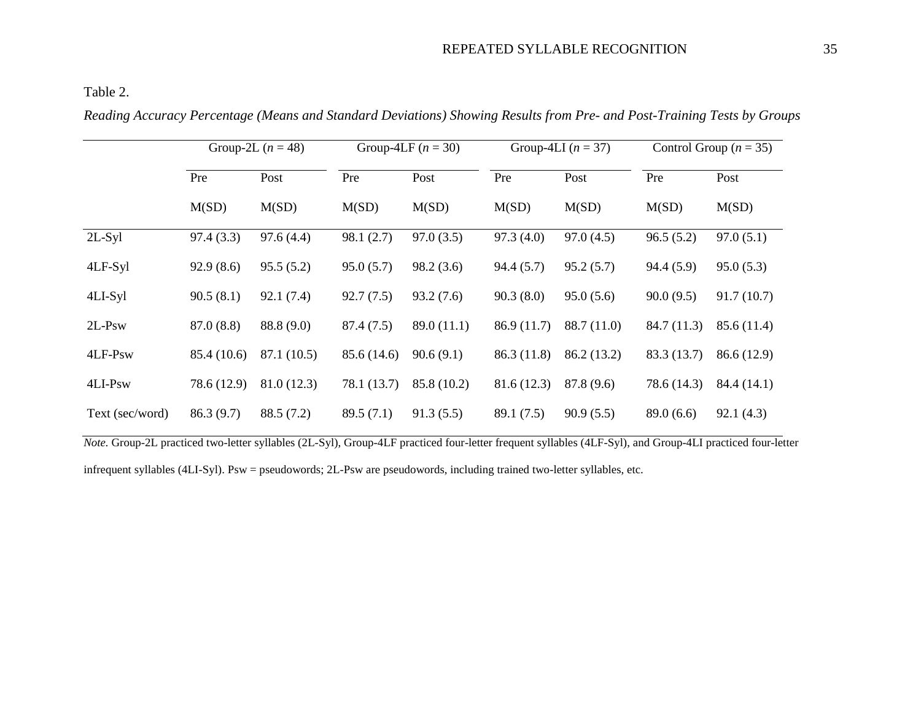Table 2.

|                 | Group-2L $(n = 48)$ |             | Group-4LF $(n = 30)$ |             | Group-4LI $(n = 37)$ |             | Control Group ( $n = 35$ ) |             |
|-----------------|---------------------|-------------|----------------------|-------------|----------------------|-------------|----------------------------|-------------|
|                 | Pre                 | Post        | Pre                  | Post        | Pre                  | Post        | Pre                        | Post        |
|                 | M(SD)               | M(SD)       | M(SD)                | M(SD)       | M(SD)                | M(SD)       | M(SD)                      | M(SD)       |
| $2L-Syl$        | 97.4(3.3)           | 97.6(4.4)   | 98.1(2.7)            | 97.0(3.5)   | 97.3(4.0)            | 97.0(4.5)   | 96.5(5.2)                  | 97.0(5.1)   |
| 4LF-Syl         | 92.9(8.6)           | 95.5(5.2)   | 95.0(5.7)            | 98.2(3.6)   | 94.4(5.7)            | 95.2(5.7)   | 94.4(5.9)                  | 95.0(5.3)   |
| 4LI-Syl         | 90.5(8.1)           | 92.1(7.4)   | 92.7(7.5)            | 93.2(7.6)   | 90.3(8.0)            | 95.0(5.6)   | 90.0(9.5)                  | 91.7(10.7)  |
| $2L-Psw$        | 87.0(8.8)           | 88.8 (9.0)  | 87.4 (7.5)           | 89.0(11.1)  | 86.9(11.7)           | 88.7 (11.0) | 84.7 (11.3)                | 85.6 (11.4) |
| 4LF-Psw         | 85.4 (10.6)         | 87.1 (10.5) | 85.6 (14.6)          | 90.6(9.1)   | 86.3(11.8)           | 86.2 (13.2) | 83.3 (13.7)                | 86.6 (12.9) |
| 4LI-Psw         | 78.6 (12.9)         | 81.0(12.3)  | 78.1 (13.7)          | 85.8 (10.2) | 81.6(12.3)           | 87.8 (9.6)  | 78.6 (14.3)                | 84.4 (14.1) |
| Text (sec/word) | 86.3(9.7)           | 88.5(7.2)   | 89.5(7.1)            | 91.3(5.5)   | 89.1 (7.5)           | 90.9(5.5)   | 89.0(6.6)                  | 92.1(4.3)   |

*Reading Accuracy Percentage (Means and Standard Deviations) Showing Results from Pre- and Post-Training Tests by Groups* 

*Note.* Group-2L practiced two-letter syllables (2L-Syl), Group-4LF practiced four-letter frequent syllables (4LF-Syl), and Group-4LI practiced four-letter

infrequent syllables (4LI-Syl). Psw = pseudowords; 2L-Psw are pseudowords, including trained two-letter syllables, etc.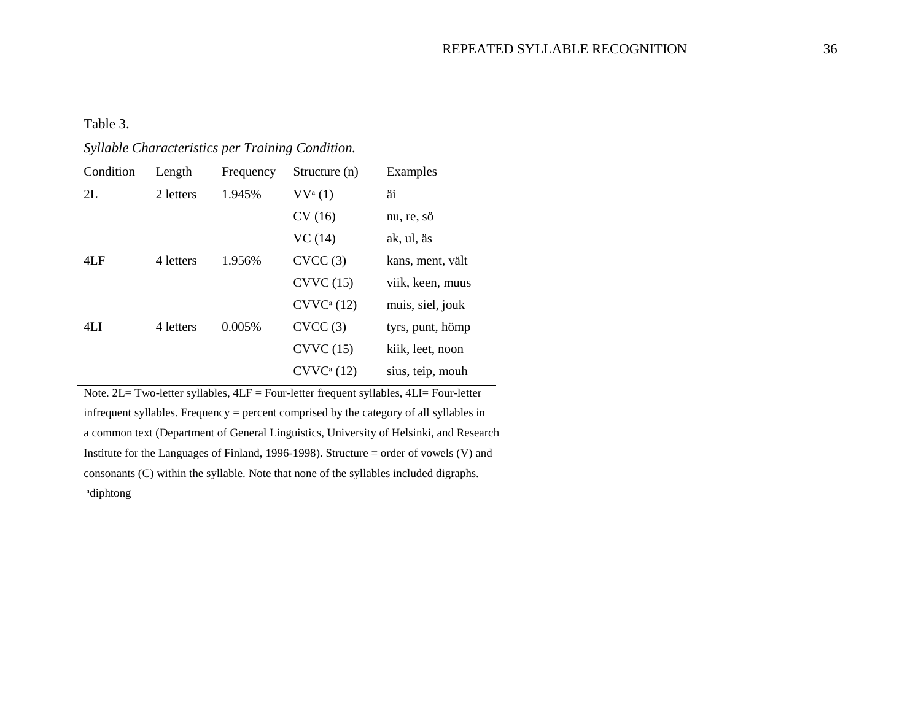Table 3.

*Syllable Characteristics per Training Condition.* 

| Condition | Length    | Frequency | Structure (n)          | Examples         |  |
|-----------|-----------|-----------|------------------------|------------------|--|
| 2L        | 2 letters | 1.945%    | $VV^{\mathrm{a}}(1)$   | äi               |  |
|           |           |           | CV(16)                 | nu, re, sö       |  |
|           |           |           | VC(14)                 | ak, ul, äs       |  |
| 4LF       | 4 letters | 1.956%    | CVCC(3)                | kans, ment, vält |  |
|           |           |           | CVVC(15)               | viik, keen, muus |  |
|           |           |           | CVVC <sup>a</sup> (12) | muis, siel, jouk |  |
| 4LI       | 4 letters | 0.005%    | CVCC(3)                | tyrs, punt, hömp |  |
|           |           |           | CVVC(15)               | kiik, leet, noon |  |
|           |           |           | CVVC <sup>a</sup> (12) | sius, teip, mouh |  |

Note. 2L= Two-letter syllables, 4LF = Four-letter frequent syllables, 4LI= Four-letter infrequent syllables. Frequency = percent comprised by the category of all syllables in a common text (Department of General Linguistics, University of Helsinki, and Research Institute for the Languages of Finland, 1996-1998). Structure = order of vowels (V) and consonants (C) within the syllable. Note that none of the syllables included digraphs. ᵃdiphtong